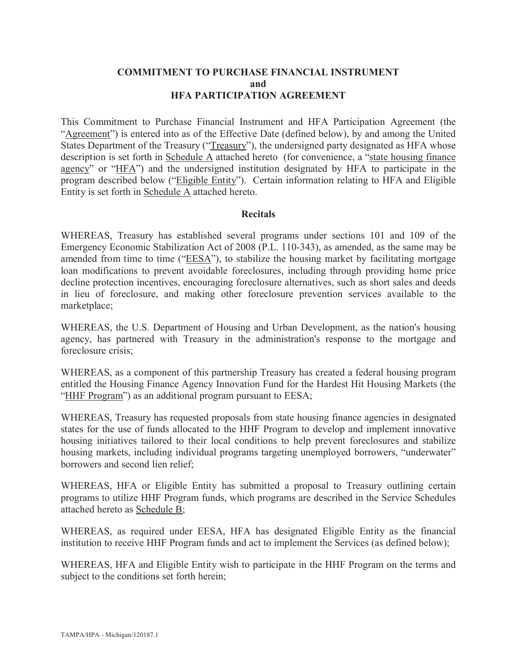#### **COMMITMENT TO PURCHASE FINANCIAL INSTRUMENT and HFA PARTICIPATION AGREEMENT**

This Commitment to Purchase Financial Instrument and HFA Participation Agreement (the "Agreement") is entered into as of the Effective Date (defined below), by and among the United States Department of the Treasury ("Treasury"), the undersigned party designated as HFA whose description is set forth in Schedule  $\overline{A}$  attached hereto (for convenience, a "state housing finance agency" or "HFA") and the undersigned institution designated by HFA to participate in the program described below ("Eligible Entity"). Certain information relating to HFA and Eligible Entity is set forth in Schedule A attached hereto.

#### **Recitals**

WHEREAS, Treasury has established several programs under sections 101 and 109 of the Emergency Economic Stabilization Act of 2008 (P.L. 110-343), as amended, as the same may be amended from time to time ("EESA"), to stabilize the housing market by facilitating mortgage loan modifications to prevent avoidable foreclosures, including through providing home price decline protection incentives, encouraging foreclosure alternatives, such as short sales and deeds in lieu of foreclosure, and making other foreclosure prevention services available to the marketplace;

WHEREAS, the U.S. Department of Housing and Urban Development, as the nation's housing agency, has partnered with Treasury in the administration's response to the mortgage and foreclosure crisis;

WHEREAS, as a component of this partnership Treasury has created a federal housing program entitled the Housing Finance Agency Innovation Fund for the Hardest Hit Housing Markets (the "HHF Program") as an additional program pursuant to EESA;

WHEREAS, Treasury has requested proposals from state housing finance agencies in designated states for the use of funds allocated to the HHF Program to develop and implement innovative housing initiatives tailored to their local conditions to help prevent foreclosures and stabilize housing markets, including individual programs targeting unemployed borrowers, "underwater" borrowers and second lien relief;

WHEREAS, HFA or Eligible Entity has submitted a proposal to Treasury outlining certain programs to utilize HHF Program funds, which programs are described in the Service Schedules attached hereto as Schedule B;

WHEREAS, as required under EESA, HFA has designated Eligible Entity as the financial institution to receive HHF Program funds and act to implement the Services (as defined below);

WHEREAS, HFA and Eligible Entity wish to participate in the HHF Program on the terms and subject to the conditions set forth herein;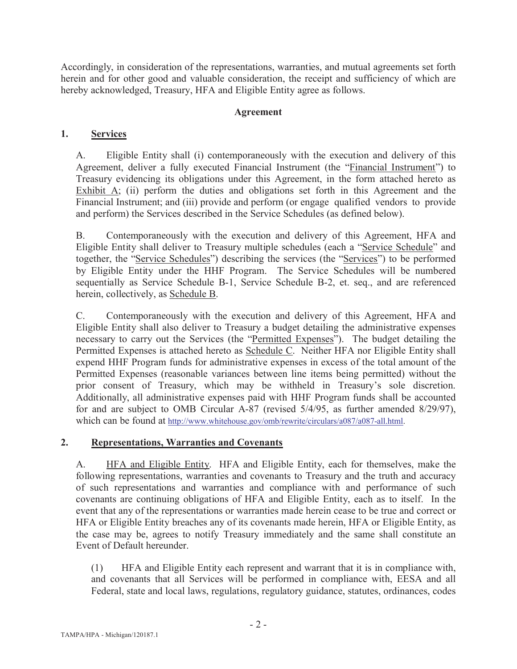Accordingly, in consideration of the representations, warranties, and mutual agreements set forth herein and for other good and valuable consideration, the receipt and sufficiency of which are hereby acknowledged, Treasury, HFA and Eligible Entity agree as follows.

### **Agreement**

### **1. Services**

A. Eligible Entity shall (i) contemporaneously with the execution and delivery of this Agreement, deliver a fully executed Financial Instrument (the "Financial Instrument") to Treasury evidencing its obligations under this Agreement, in the form attached hereto as Exhibit  $\overline{A}$ ; (ii) perform the duties and obligations set forth in this Agreement and the Financial Instrument; and (iii) provide and perform (or engage qualified vendors to provide and perform) the Services described in the Service Schedules (as defined below).

B. Contemporaneously with the execution and delivery of this Agreement, HFA and Eligible Entity shall deliver to Treasury multiple schedules (each a "Service Schedule" and together, the "Service Schedules") describing the services (the "Services") to be performed by Eligible Entity under the HHF Program. The Service Schedules will be numbered sequentially as Service Schedule B-1, Service Schedule B-2, et. seq., and are referenced herein, collectively, as Schedule B.

C. Contemporaneously with the execution and delivery of this Agreement, HFA and Eligible Entity shall also deliver to Treasury a budget detailing the administrative expenses necessary to carry out the Services (the "Permitted Expenses"). The budget detailing the Permitted Expenses is attached hereto as Schedule C. Neither HFA nor Eligible Entity shall expend HHF Program funds for administrative expenses in excess of the total amount of the Permitted Expenses (reasonable variances between line items being permitted) without the prior consent of Treasury, which may be withheld in Treasury's sole discretion. Additionally, all administrative expenses paid with HHF Program funds shall be accounted for and are subject to OMB Circular A-87 (revised 5/4/95, as further amended 8/29/97), which can be found at http://www.whitehouse.gov/omb/rewrite/circulars/a087/a087-all.html.

### **2. Representations, Warranties and Covenants**

A. HFA and Eligible Entity. HFA and Eligible Entity, each for themselves, make the following representations, warranties and covenants to Treasury and the truth and accuracy of such representations and warranties and compliance with and performance of such covenants are continuing obligations of HFA and Eligible Entity, each as to itself. In the event that any of the representations or warranties made herein cease to be true and correct or HFA or Eligible Entity breaches any of its covenants made herein, HFA or Eligible Entity, as the case may be, agrees to notify Treasury immediately and the same shall constitute an Event of Default hereunder.

(1) HFA and Eligible Entity each represent and warrant that it is in compliance with, and covenants that all Services will be performed in compliance with, EESA and all Federal, state and local laws, regulations, regulatory guidance, statutes, ordinances, codes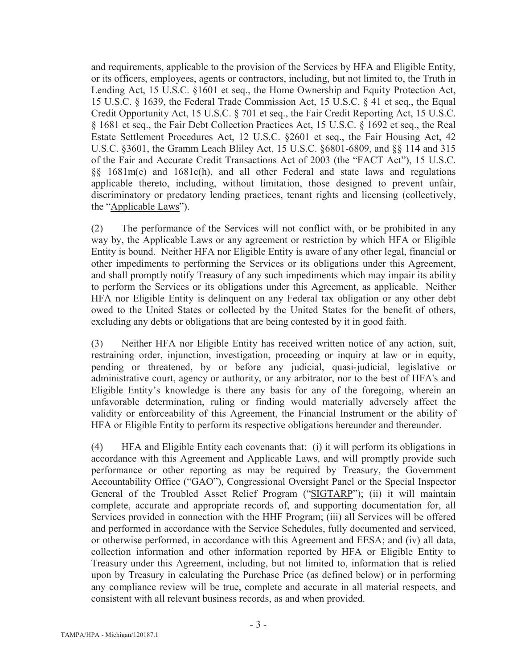and requirements, applicable to the provision of the Services by HFA and Eligible Entity, or its officers, employees, agents or contractors, including, but not limited to, the Truth in Lending Act, 15 U.S.C. §1601 et seq., the Home Ownership and Equity Protection Act, 15 U.S.C. § 1639, the Federal Trade Commission Act, 15 U.S.C. § 41 et seq., the Equal Credit Opportunity Act, 15 U.S.C. § 701 et seq., the Fair Credit Reporting Act, 15 U.S.C. § 1681 et seq., the Fair Debt Collection Practices Act, 15 U.S.C. § 1692 et seq., the Real Estate Settlement Procedures Act, 12 U.S.C. §2601 et seq., the Fair Housing Act, 42 U.S.C. §3601, the Gramm Leach Bliley Act, 15 U.S.C. §6801-6809, and §§ 114 and 315 of the Fair and Accurate Credit Transactions Act of 2003 (the "FACT Act"), 15 U.S.C. §§ 1681m(e) and 1681c(h), and all other Federal and state laws and regulations applicable thereto, including, without limitation, those designed to prevent unfair, discriminatory or predatory lending practices, tenant rights and licensing (collectively, the "Applicable Laws").

(2) The performance of the Services will not conflict with, or be prohibited in any way by, the Applicable Laws or any agreement or restriction by which HFA or Eligible Entity is bound. Neither HFA nor Eligible Entity is aware of any other legal, financial or other impediments to performing the Services or its obligations under this Agreement, and shall promptly notify Treasury of any such impediments which may impair its ability to perform the Services or its obligations under this Agreement, as applicable. Neither HFA nor Eligible Entity is delinquent on any Federal tax obligation or any other debt owed to the United States or collected by the United States for the benefit of others, excluding any debts or obligations that are being contested by it in good faith.

(3) Neither HFA nor Eligible Entity has received written notice of any action, suit, restraining order, injunction, investigation, proceeding or inquiry at law or in equity, pending or threatened, by or before any judicial, quasi-judicial, legislative or administrative court, agency or authority, or any arbitrator, nor to the best of HFA's and Eligible Entity's knowledge is there any basis for any of the foregoing, wherein an unfavorable determination, ruling or finding would materially adversely affect the validity or enforceability of this Agreement, the Financial Instrument or the ability of HFA or Eligible Entity to perform its respective obligations hereunder and thereunder.

(4) HFA and Eligible Entity each covenants that: (i) it will perform its obligations in accordance with this Agreement and Applicable Laws, and will promptly provide such performance or other reporting as may be required by Treasury, the Government Accountability Office ("GAO"), Congressional Oversight Panel or the Special Inspector General of the Troubled Asset Relief Program ("SIGTARP"); (ii) it will maintain complete, accurate and appropriate records of, and supporting documentation for, all Services provided in connection with the HHF Program; (iii) all Services will be offered and performed in accordance with the Service Schedules, fully documented and serviced, or otherwise performed, in accordance with this Agreement and EESA; and (iv) all data, collection information and other information reported by HFA or Eligible Entity to Treasury under this Agreement, including, but not limited to, information that is relied upon by Treasury in calculating the Purchase Price (as defined below) or in performing any compliance review will be true, complete and accurate in all material respects, and consistent with all relevant business records, as and when provided.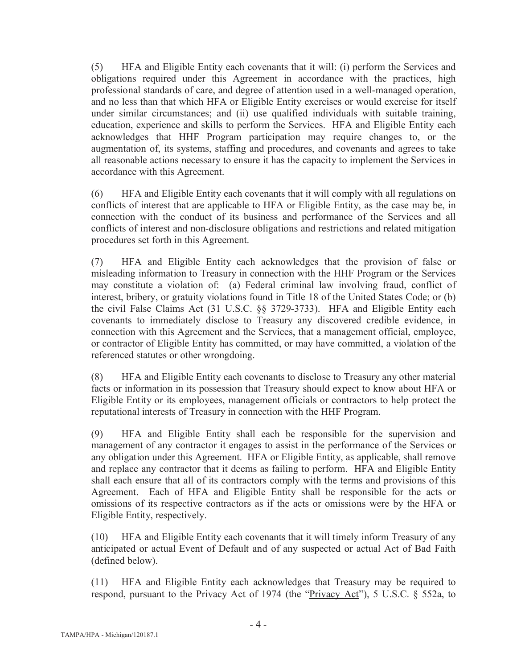(5) HFA and Eligible Entity each covenants that it will: (i) perform the Services and obligations required under this Agreement in accordance with the practices, high professional standards of care, and degree of attention used in a well-managed operation, and no less than that which HFA or Eligible Entity exercises or would exercise for itself under similar circumstances; and (ii) use qualified individuals with suitable training, education, experience and skills to perform the Services. HFA and Eligible Entity each acknowledges that HHF Program participation may require changes to, or the augmentation of, its systems, staffing and procedures, and covenants and agrees to take all reasonable actions necessary to ensure it has the capacity to implement the Services in accordance with this Agreement.

(6) HFA and Eligible Entity each covenants that it will comply with all regulations on conflicts of interest that are applicable to HFA or Eligible Entity, as the case may be, in connection with the conduct of its business and performance of the Services and all conflicts of interest and non-disclosure obligations and restrictions and related mitigation procedures set forth in this Agreement.

(7) HFA and Eligible Entity each acknowledges that the provision of false or misleading information to Treasury in connection with the HHF Program or the Services may constitute a violation of: (a) Federal criminal law involving fraud, conflict of interest, bribery, or gratuity violations found in Title 18 of the United States Code; or (b) the civil False Claims Act (31 U.S.C. §§ 3729-3733). HFA and Eligible Entity each covenants to immediately disclose to Treasury any discovered credible evidence, in connection with this Agreement and the Services, that a management official, employee, or contractor of Eligible Entity has committed, or may have committed, a violation of the referenced statutes or other wrongdoing.

(8) HFA and Eligible Entity each covenants to disclose to Treasury any other material facts or information in its possession that Treasury should expect to know about HFA or Eligible Entity or its employees, management officials or contractors to help protect the reputational interests of Treasury in connection with the HHF Program.

(9) HFA and Eligible Entity shall each be responsible for the supervision and management of any contractor it engages to assist in the performance of the Services or any obligation under this Agreement. HFA or Eligible Entity, as applicable, shall remove and replace any contractor that it deems as failing to perform. HFA and Eligible Entity shall each ensure that all of its contractors comply with the terms and provisions of this Agreement. Each of HFA and Eligible Entity shall be responsible for the acts or omissions of its respective contractors as if the acts or omissions were by the HFA or Eligible Entity, respectively.

(10) HFA and Eligible Entity each covenants that it will timely inform Treasury of any anticipated or actual Event of Default and of any suspected or actual Act of Bad Faith (defined below).

(11) HFA and Eligible Entity each acknowledges that Treasury may be required to respond, pursuant to the Privacy Act of 1974 (the "Privacy Act"), 5 U.S.C. § 552a, to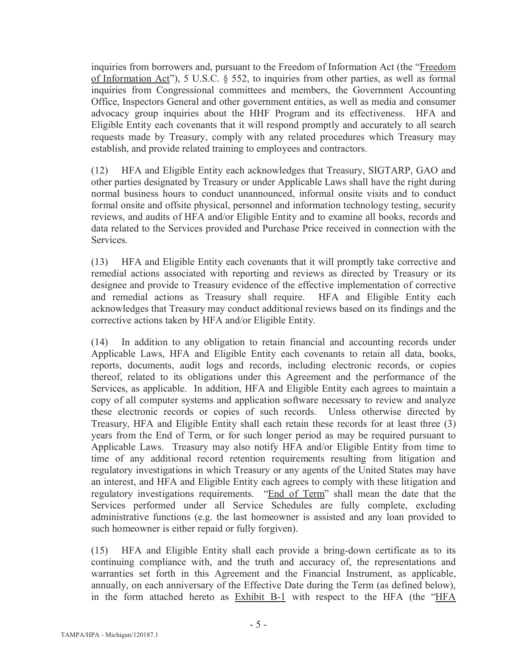inquiries from borrowers and, pursuant to the Freedom of Information Act (the "Freedom of Information Act"), 5 U.S.C. § 552, to inquiries from other parties, as well as formal inquiries from Congressional committees and members, the Government Accounting Office, Inspectors General and other government entities, as well as media and consumer advocacy group inquiries about the HHF Program and its effectiveness. HFA and Eligible Entity each covenants that it will respond promptly and accurately to all search requests made by Treasury, comply with any related procedures which Treasury may establish, and provide related training to employees and contractors.

(12) HFA and Eligible Entity each acknowledges that Treasury, SIGTARP, GAO and other parties designated by Treasury or under Applicable Laws shall have the right during normal business hours to conduct unannounced, informal onsite visits and to conduct formal onsite and offsite physical, personnel and information technology testing, security reviews, and audits of HFA and/or Eligible Entity and to examine all books, records and data related to the Services provided and Purchase Price received in connection with the Services.

(13) HFA and Eligible Entity each covenants that it will promptly take corrective and remedial actions associated with reporting and reviews as directed by Treasury or its designee and provide to Treasury evidence of the effective implementation of corrective and remedial actions as Treasury shall require. HFA and Eligible Entity each acknowledges that Treasury may conduct additional reviews based on its findings and the corrective actions taken by HFA and/or Eligible Entity.

(14) In addition to any obligation to retain financial and accounting records under Applicable Laws, HFA and Eligible Entity each covenants to retain all data, books, reports, documents, audit logs and records, including electronic records, or copies thereof, related to its obligations under this Agreement and the performance of the Services, as applicable. In addition, HFA and Eligible Entity each agrees to maintain a copy of all computer systems and application software necessary to review and analyze these electronic records or copies of such records. Unless otherwise directed by Treasury, HFA and Eligible Entity shall each retain these records for at least three (3) years from the End of Term, or for such longer period as may be required pursuant to Applicable Laws. Treasury may also notify HFA and/or Eligible Entity from time to time of any additional record retention requirements resulting from litigation and regulatory investigations in which Treasury or any agents of the United States may have an interest, and HFA and Eligible Entity each agrees to comply with these litigation and regulatory investigations requirements. "End of Term" shall mean the date that the Services performed under all Service Schedules are fully complete, excluding administrative functions (e.g. the last homeowner is assisted and any loan provided to such homeowner is either repaid or fully forgiven).

(15) HFA and Eligible Entity shall each provide a bring-down certificate as to its continuing compliance with, and the truth and accuracy of, the representations and warranties set forth in this Agreement and the Financial Instrument, as applicable, annually, on each anniversary of the Effective Date during the Term (as defined below), in the form attached hereto as Exhibit B-1 with respect to the HFA (the "HFA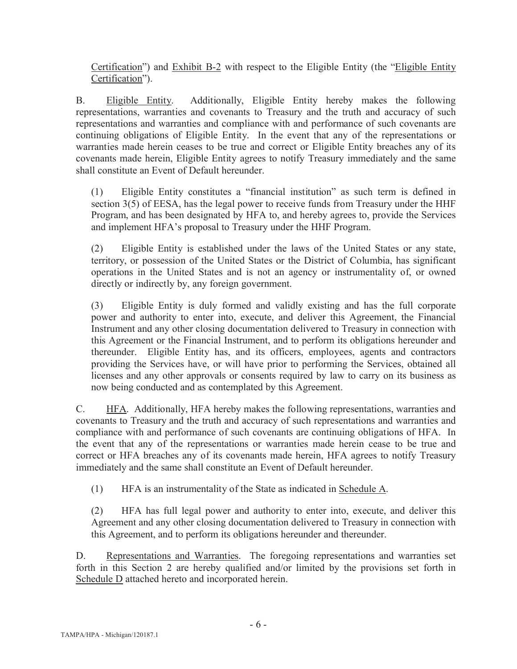Certification") and Exhibit B-2 with respect to the Eligible Entity (the "Eligible Entity Certification").

B. Eligible Entity. Additionally, Eligible Entity hereby makes the following representations, warranties and covenants to Treasury and the truth and accuracy of such representations and warranties and compliance with and performance of such covenants are continuing obligations of Eligible Entity. In the event that any of the representations or warranties made herein ceases to be true and correct or Eligible Entity breaches any of its covenants made herein, Eligible Entity agrees to notify Treasury immediately and the same shall constitute an Event of Default hereunder.

(1) Eligible Entity constitutes a "financial institution" as such term is defined in section 3(5) of EESA, has the legal power to receive funds from Treasury under the HHF Program, and has been designated by HFA to, and hereby agrees to, provide the Services and implement HFA's proposal to Treasury under the HHF Program.

(2) Eligible Entity is established under the laws of the United States or any state, territory, or possession of the United States or the District of Columbia, has significant operations in the United States and is not an agency or instrumentality of, or owned directly or indirectly by, any foreign government.

(3) Eligible Entity is duly formed and validly existing and has the full corporate power and authority to enter into, execute, and deliver this Agreement, the Financial Instrument and any other closing documentation delivered to Treasury in connection with this Agreement or the Financial Instrument, and to perform its obligations hereunder and thereunder. Eligible Entity has, and its officers, employees, agents and contractors providing the Services have, or will have prior to performing the Services, obtained all licenses and any other approvals or consents required by law to carry on its business as now being conducted and as contemplated by this Agreement.

C. HFA. Additionally, HFA hereby makes the following representations, warranties and covenants to Treasury and the truth and accuracy of such representations and warranties and compliance with and performance of such covenants are continuing obligations of HFA. In the event that any of the representations or warranties made herein cease to be true and correct or HFA breaches any of its covenants made herein, HFA agrees to notify Treasury immediately and the same shall constitute an Event of Default hereunder.

(1) HFA is an instrumentality of the State as indicated in Schedule A.

(2) HFA has full legal power and authority to enter into, execute, and deliver this Agreement and any other closing documentation delivered to Treasury in connection with this Agreement, and to perform its obligations hereunder and thereunder.

D. Representations and Warranties. The foregoing representations and warranties set forth in this Section 2 are hereby qualified and/or limited by the provisions set forth in Schedule D attached hereto and incorporated herein.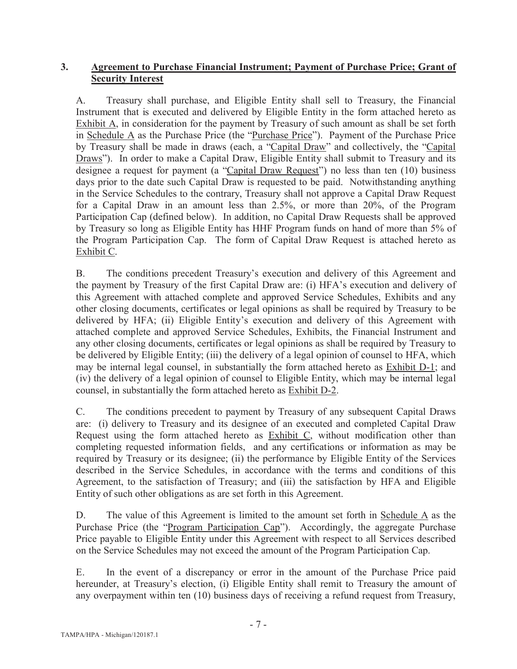### **3. Agreement to Purchase Financial Instrument; Payment of Purchase Price; Grant of Security Interest**

A. Treasury shall purchase, and Eligible Entity shall sell to Treasury, the Financial Instrument that is executed and delivered by Eligible Entity in the form attached hereto as Exhibit A, in consideration for the payment by Treasury of such amount as shall be set forth in Schedule A as the Purchase Price (the "Purchase Price"). Payment of the Purchase Price by Treasury shall be made in draws (each, a "Capital Draw" and collectively, the "Capital Draws"). In order to make a Capital Draw, Eligible Entity shall submit to Treasury and its designee a request for payment (a "Capital Draw Request") no less than ten (10) business days prior to the date such Capital Draw is requested to be paid. Notwithstanding anything in the Service Schedules to the contrary, Treasury shall not approve a Capital Draw Request for a Capital Draw in an amount less than 2.5%, or more than 20%, of the Program Participation Cap (defined below). In addition, no Capital Draw Requests shall be approved by Treasury so long as Eligible Entity has HHF Program funds on hand of more than 5% of the Program Participation Cap. The form of Capital Draw Request is attached hereto as Exhibit C.

B. The conditions precedent Treasury's execution and delivery of this Agreement and the payment by Treasury of the first Capital Draw are: (i) HFA's execution and delivery of this Agreement with attached complete and approved Service Schedules, Exhibits and any other closing documents, certificates or legal opinions as shall be required by Treasury to be delivered by HFA; (ii) Eligible Entity's execution and delivery of this Agreement with attached complete and approved Service Schedules, Exhibits, the Financial Instrument and any other closing documents, certificates or legal opinions as shall be required by Treasury to be delivered by Eligible Entity; (iii) the delivery of a legal opinion of counsel to HFA, which may be internal legal counsel, in substantially the form attached hereto as Exhibit D-1; and (iv) the delivery of a legal opinion of counsel to Eligible Entity, which may be internal legal counsel, in substantially the form attached hereto as Exhibit D-2.

C. The conditions precedent to payment by Treasury of any subsequent Capital Draws are: (i) delivery to Treasury and its designee of an executed and completed Capital Draw Request using the form attached hereto as Exhibit C, without modification other than completing requested information fields, and any certifications or information as may be required by Treasury or its designee; (ii) the performance by Eligible Entity of the Services described in the Service Schedules, in accordance with the terms and conditions of this Agreement, to the satisfaction of Treasury; and (iii) the satisfaction by HFA and Eligible Entity of such other obligations as are set forth in this Agreement.

D. The value of this Agreement is limited to the amount set forth in Schedule  $\overline{A}$  as the Purchase Price (the "Program Participation Cap"). Accordingly, the aggregate Purchase Price payable to Eligible Entity under this Agreement with respect to all Services described on the Service Schedules may not exceed the amount of the Program Participation Cap.

E. In the event of a discrepancy or error in the amount of the Purchase Price paid hereunder, at Treasury's election, (i) Eligible Entity shall remit to Treasury the amount of any overpayment within ten (10) business days of receiving a refund request from Treasury,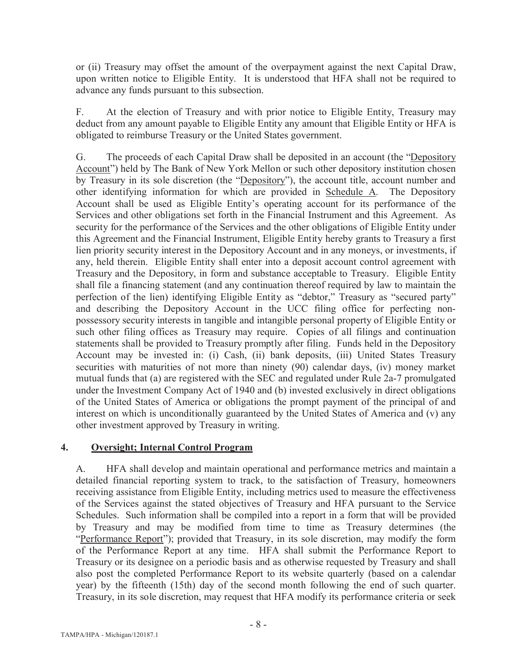or (ii) Treasury may offset the amount of the overpayment against the next Capital Draw, upon written notice to Eligible Entity. It is understood that HFA shall not be required to advance any funds pursuant to this subsection.

F. At the election of Treasury and with prior notice to Eligible Entity, Treasury may deduct from any amount payable to Eligible Entity any amount that Eligible Entity or HFA is obligated to reimburse Treasury or the United States government.

G. The proceeds of each Capital Draw shall be deposited in an account (the "Depository Account") held by The Bank of New York Mellon or such other depository institution chosen by Treasury in its sole discretion (the "Depository"), the account title, account number and other identifying information for which are provided in Schedule A. The Depository Account shall be used as Eligible Entity's operating account for its performance of the Services and other obligations set forth in the Financial Instrument and this Agreement. As security for the performance of the Services and the other obligations of Eligible Entity under this Agreement and the Financial Instrument, Eligible Entity hereby grants to Treasury a first lien priority security interest in the Depository Account and in any moneys, or investments, if any, held therein. Eligible Entity shall enter into a deposit account control agreement with Treasury and the Depository, in form and substance acceptable to Treasury. Eligible Entity shall file a financing statement (and any continuation thereof required by law to maintain the perfection of the lien) identifying Eligible Entity as "debtor," Treasury as "secured party" and describing the Depository Account in the UCC filing office for perfecting nonpossessory security interests in tangible and intangible personal property of Eligible Entity or such other filing offices as Treasury may require. Copies of all filings and continuation statements shall be provided to Treasury promptly after filing. Funds held in the Depository Account may be invested in: (i) Cash, (ii) bank deposits, (iii) United States Treasury securities with maturities of not more than ninety (90) calendar days, (iv) money market mutual funds that (a) are registered with the SEC and regulated under Rule 2a-7 promulgated under the Investment Company Act of 1940 and (b) invested exclusively in direct obligations of the United States of America or obligations the prompt payment of the principal of and interest on which is unconditionally guaranteed by the United States of America and (v) any other investment approved by Treasury in writing.

### **4. Oversight; Internal Control Program**

A. HFA shall develop and maintain operational and performance metrics and maintain a detailed financial reporting system to track, to the satisfaction of Treasury, homeowners receiving assistance from Eligible Entity, including metrics used to measure the effectiveness of the Services against the stated objectives of Treasury and HFA pursuant to the Service Schedules. Such information shall be compiled into a report in a form that will be provided by Treasury and may be modified from time to time as Treasury determines (the "Performance Report"); provided that Treasury, in its sole discretion, may modify the form of the Performance Report at any time. HFA shall submit the Performance Report to Treasury or its designee on a periodic basis and as otherwise requested by Treasury and shall also post the completed Performance Report to its website quarterly (based on a calendar year) by the fifteenth (15th) day of the second month following the end of such quarter. Treasury, in its sole discretion, may request that HFA modify its performance criteria or seek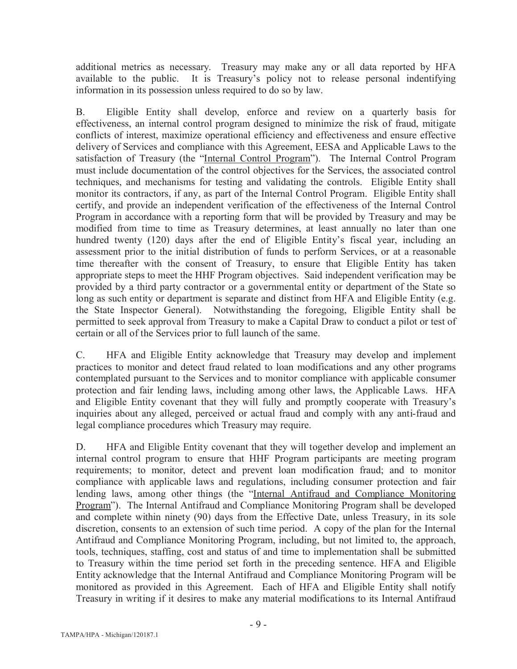additional metrics as necessary. Treasury may make any or all data reported by HFA available to the public. It is Treasury's policy not to release personal indentifying information in its possession unless required to do so by law.

B. Eligible Entity shall develop, enforce and review on a quarterly basis for effectiveness, an internal control program designed to minimize the risk of fraud, mitigate conflicts of interest, maximize operational efficiency and effectiveness and ensure effective delivery of Services and compliance with this Agreement, EESA and Applicable Laws to the satisfaction of Treasury (the "Internal Control Program"). The Internal Control Program must include documentation of the control objectives for the Services, the associated control techniques, and mechanisms for testing and validating the controls. Eligible Entity shall monitor its contractors, if any, as part of the Internal Control Program. Eligible Entity shall certify, and provide an independent verification of the effectiveness of the Internal Control Program in accordance with a reporting form that will be provided by Treasury and may be modified from time to time as Treasury determines, at least annually no later than one hundred twenty (120) days after the end of Eligible Entity's fiscal year, including an assessment prior to the initial distribution of funds to perform Services, or at a reasonable time thereafter with the consent of Treasury, to ensure that Eligible Entity has taken appropriate steps to meet the HHF Program objectives. Said independent verification may be provided by a third party contractor or a governmental entity or department of the State so long as such entity or department is separate and distinct from HFA and Eligible Entity (e.g. the State Inspector General). Notwithstanding the foregoing, Eligible Entity shall be permitted to seek approval from Treasury to make a Capital Draw to conduct a pilot or test of certain or all of the Services prior to full launch of the same.

C. HFA and Eligible Entity acknowledge that Treasury may develop and implement practices to monitor and detect fraud related to loan modifications and any other programs contemplated pursuant to the Services and to monitor compliance with applicable consumer protection and fair lending laws, including among other laws, the Applicable Laws. HFA and Eligible Entity covenant that they will fully and promptly cooperate with Treasury's inquiries about any alleged, perceived or actual fraud and comply with any anti-fraud and legal compliance procedures which Treasury may require.

D. HFA and Eligible Entity covenant that they will together develop and implement an internal control program to ensure that HHF Program participants are meeting program requirements; to monitor, detect and prevent loan modification fraud; and to monitor compliance with applicable laws and regulations, including consumer protection and fair lending laws, among other things (the "Internal Antifraud and Compliance Monitoring Program"). The Internal Antifraud and Compliance Monitoring Program shall be developed and complete within ninety (90) days from the Effective Date, unless Treasury, in its sole discretion, consents to an extension of such time period. A copy of the plan for the Internal Antifraud and Compliance Monitoring Program, including, but not limited to, the approach, tools, techniques, staffing, cost and status of and time to implementation shall be submitted to Treasury within the time period set forth in the preceding sentence. HFA and Eligible Entity acknowledge that the Internal Antifraud and Compliance Monitoring Program will be monitored as provided in this Agreement. Each of HFA and Eligible Entity shall notify Treasury in writing if it desires to make any material modifications to its Internal Antifraud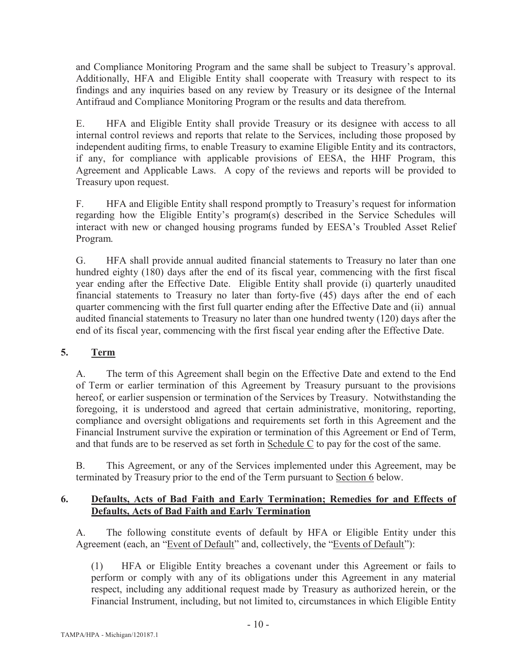and Compliance Monitoring Program and the same shall be subject to Treasury's approval. Additionally, HFA and Eligible Entity shall cooperate with Treasury with respect to its findings and any inquiries based on any review by Treasury or its designee of the Internal Antifraud and Compliance Monitoring Program or the results and data therefrom.

E. HFA and Eligible Entity shall provide Treasury or its designee with access to all internal control reviews and reports that relate to the Services, including those proposed by independent auditing firms, to enable Treasury to examine Eligible Entity and its contractors, if any, for compliance with applicable provisions of EESA, the HHF Program, this Agreement and Applicable Laws. A copy of the reviews and reports will be provided to Treasury upon request.

F. HFA and Eligible Entity shall respond promptly to Treasury's request for information regarding how the Eligible Entity's program(s) described in the Service Schedules will interact with new or changed housing programs funded by EESA's Troubled Asset Relief Program.

G. HFA shall provide annual audited financial statements to Treasury no later than one hundred eighty (180) days after the end of its fiscal year, commencing with the first fiscal year ending after the Effective Date. Eligible Entity shall provide (i) quarterly unaudited financial statements to Treasury no later than forty-five (45) days after the end of each quarter commencing with the first full quarter ending after the Effective Date and (ii) annual audited financial statements to Treasury no later than one hundred twenty (120) days after the end of its fiscal year, commencing with the first fiscal year ending after the Effective Date.

### **5. Term**

A. The term of this Agreement shall begin on the Effective Date and extend to the End of Term or earlier termination of this Agreement by Treasury pursuant to the provisions hereof, or earlier suspension or termination of the Services by Treasury. Notwithstanding the foregoing, it is understood and agreed that certain administrative, monitoring, reporting, compliance and oversight obligations and requirements set forth in this Agreement and the Financial Instrument survive the expiration or termination of this Agreement or End of Term, and that funds are to be reserved as set forth in Schedule C to pay for the cost of the same.

B. This Agreement, or any of the Services implemented under this Agreement, may be terminated by Treasury prior to the end of the Term pursuant to Section 6 below.

### **6. Defaults, Acts of Bad Faith and Early Termination; Remedies for and Effects of Defaults, Acts of Bad Faith and Early Termination**

A. The following constitute events of default by HFA or Eligible Entity under this Agreement (each, an "Event of Default" and, collectively, the "Events of Default"):

(1) HFA or Eligible Entity breaches a covenant under this Agreement or fails to perform or comply with any of its obligations under this Agreement in any material respect, including any additional request made by Treasury as authorized herein, or the Financial Instrument, including, but not limited to, circumstances in which Eligible Entity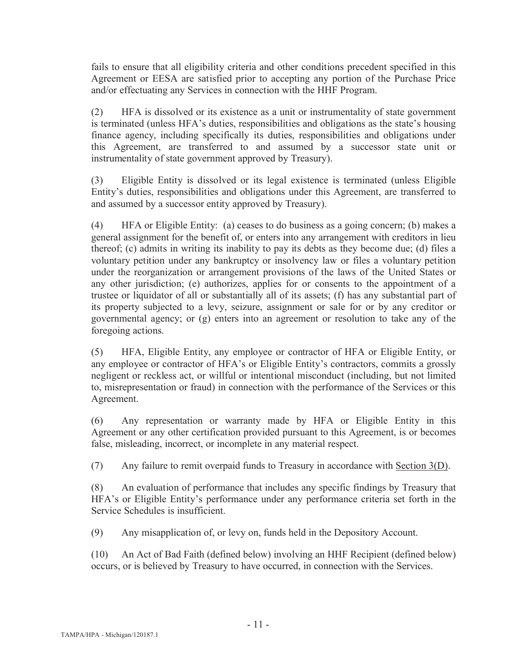fails to ensure that all eligibility criteria and other conditions precedent specified in this Agreement or EESA are satisfied prior to accepting any portion of the Purchase Price and/or effectuating any Services in connection with the HHF Program.

(2) HFA is dissolved or its existence as a unit or instrumentality of state government is terminated (unless HFA's duties, responsibilities and obligations as the state's housing finance agency, including specifically its duties, responsibilities and obligations under this Agreement, are transferred to and assumed by a successor state unit or instrumentality of state government approved by Treasury).

(3) Eligible Entity is dissolved or its legal existence is terminated (unless Eligible Entity's duties, responsibilities and obligations under this Agreement, are transferred to and assumed by a successor entity approved by Treasury).

(4) HFA or Eligible Entity: (a) ceases to do business as a going concern; (b) makes a general assignment for the benefit of, or enters into any arrangement with creditors in lieu thereof; (c) admits in writing its inability to pay its debts as they become due; (d) files a voluntary petition under any bankruptcy or insolvency law or files a voluntary petition under the reorganization or arrangement provisions of the laws of the United States or any other jurisdiction; (e) authorizes, applies for or consents to the appointment of a trustee or liquidator of all or substantially all of its assets; (f) has any substantial part of its property subjected to a levy, seizure, assignment or sale for or by any creditor or governmental agency; or (g) enters into an agreement or resolution to take any of the foregoing actions.

(5) HFA, Eligible Entity, any employee or contractor of HFA or Eligible Entity, or any employee or contractor of HFA's or Eligible Entity's contractors, commits a grossly negligent or reckless act, or willful or intentional misconduct (including, but not limited to, misrepresentation or fraud) in connection with the performance of the Services or this Agreement.

(6) Any representation or warranty made by HFA or Eligible Entity in this Agreement or any other certification provided pursuant to this Agreement, is or becomes false, misleading, incorrect, or incomplete in any material respect.

(7) Any failure to remit overpaid funds to Treasury in accordance with Section 3(D).

(8) An evaluation of performance that includes any specific findings by Treasury that HFA's or Eligible Entity's performance under any performance criteria set forth in the Service Schedules is insufficient.

(9) Any misapplication of, or levy on, funds held in the Depository Account.

(10) An Act of Bad Faith (defined below) involving an HHF Recipient (defined below) occurs, or is believed by Treasury to have occurred, in connection with the Services.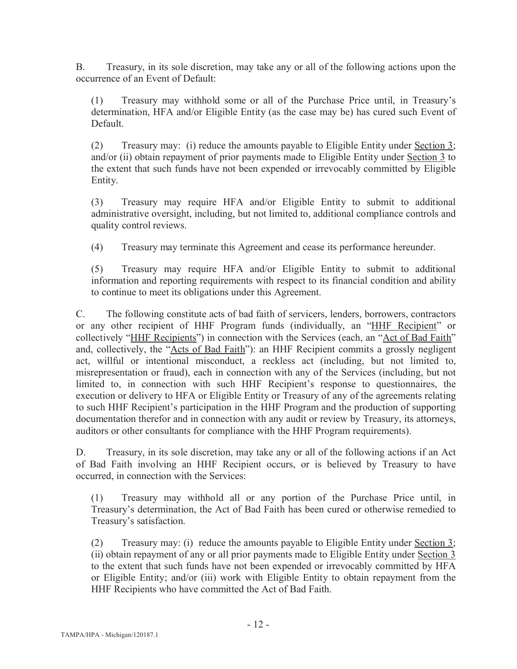B. Treasury, in its sole discretion, may take any or all of the following actions upon the occurrence of an Event of Default:

(1) Treasury may withhold some or all of the Purchase Price until, in Treasury's determination, HFA and/or Eligible Entity (as the case may be) has cured such Event of **Default** 

(2) Treasury may: (i) reduce the amounts payable to Eligible Entity under Section 3; and/or (ii) obtain repayment of prior payments made to Eligible Entity under Section 3 to the extent that such funds have not been expended or irrevocably committed by Eligible Entity.

(3) Treasury may require HFA and/or Eligible Entity to submit to additional administrative oversight, including, but not limited to, additional compliance controls and quality control reviews.

(4) Treasury may terminate this Agreement and cease its performance hereunder.

(5) Treasury may require HFA and/or Eligible Entity to submit to additional information and reporting requirements with respect to its financial condition and ability to continue to meet its obligations under this Agreement.

C. The following constitute acts of bad faith of servicers, lenders, borrowers, contractors or any other recipient of HHF Program funds (individually, an "HHF Recipient" or collectively "HHF Recipients") in connection with the Services (each, an "Act of Bad Faith" and, collectively, the "Acts of Bad Faith"): an HHF Recipient commits a grossly negligent act, willful or intentional misconduct, a reckless act (including, but not limited to, misrepresentation or fraud), each in connection with any of the Services (including, but not limited to, in connection with such HHF Recipient's response to questionnaires, the execution or delivery to HFA or Eligible Entity or Treasury of any of the agreements relating to such HHF Recipient's participation in the HHF Program and the production of supporting documentation therefor and in connection with any audit or review by Treasury, its attorneys, auditors or other consultants for compliance with the HHF Program requirements).

D. Treasury, in its sole discretion, may take any or all of the following actions if an Act of Bad Faith involving an HHF Recipient occurs, or is believed by Treasury to have occurred, in connection with the Services:

(1) Treasury may withhold all or any portion of the Purchase Price until, in Treasury's determination, the Act of Bad Faith has been cured or otherwise remedied to Treasury's satisfaction.

(2) Treasury may: (i) reduce the amounts payable to Eligible Entity under Section 3; (ii) obtain repayment of any or all prior payments made to Eligible Entity under Section 3 to the extent that such funds have not been expended or irrevocably committed by HFA or Eligible Entity; and/or (iii) work with Eligible Entity to obtain repayment from the HHF Recipients who have committed the Act of Bad Faith.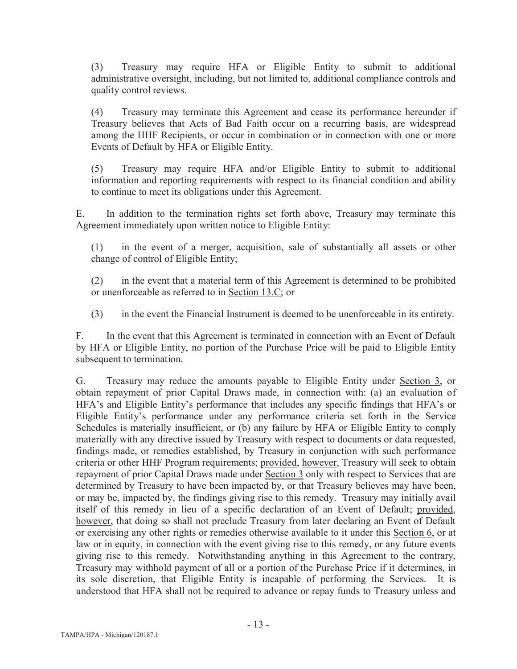(3) Treasury may require HFA or Eligible Entity to submit to additional administrative oversight, including, but not limited to, additional compliance controls and quality control reviews.

(4) Treasury may terminate this Agreement and cease its performance hereunder if Treasury believes that Acts of Bad Faith occur on a recurring basis, are widespread among the HHF Recipients, or occur in combination or in connection with one or more Events of Default by HFA or Eligible Entity.

(5) Treasury may require HFA and/or Eligible Entity to submit to additional information and reporting requirements with respect to its financial condition and ability to continue to meet its obligations under this Agreement.

E. In addition to the termination rights set forth above, Treasury may terminate this Agreement immediately upon written notice to Eligible Entity:

(1) in the event of a merger, acquisition, sale of substantially all assets or other change of control of Eligible Entity;

(2) in the event that a material term of this Agreement is determined to be prohibited or unenforceable as referred to in Section 13.C; or

(3) in the event the Financial Instrument is deemed to be unenforceable in its entirety.

F. In the event that this Agreement is terminated in connection with an Event of Default by HFA or Eligible Entity, no portion of the Purchase Price will be paid to Eligible Entity subsequent to termination.

G. Treasury may reduce the amounts payable to Eligible Entity under Section 3, or obtain repayment of prior Capital Draws made, in connection with: (a) an evaluation of HFA's and Eligible Entity's performance that includes any specific findings that HFA's or Eligible Entity's performance under any performance criteria set forth in the Service Schedules is materially insufficient, or (b) any failure by HFA or Eligible Entity to comply materially with any directive issued by Treasury with respect to documents or data requested, findings made, or remedies established, by Treasury in conjunction with such performance criteria or other HHF Program requirements; provided, however, Treasury will seek to obtain repayment of prior Capital Draws made under Section 3 only with respect to Services that are determined by Treasury to have been impacted by, or that Treasury believes may have been, or may be, impacted by, the findings giving rise to this remedy. Treasury may initially avail itself of this remedy in lieu of a specific declaration of an Event of Default; provided, however, that doing so shall not preclude Treasury from later declaring an Event of Default or exercising any other rights or remedies otherwise available to it under this Section 6, or at law or in equity, in connection with the event giving rise to this remedy, or any future events giving rise to this remedy. Notwithstanding anything in this Agreement to the contrary, Treasury may withhold payment of all or a portion of the Purchase Price if it determines, in its sole discretion, that Eligible Entity is incapable of performing the Services. It is understood that HFA shall not be required to advance or repay funds to Treasury unless and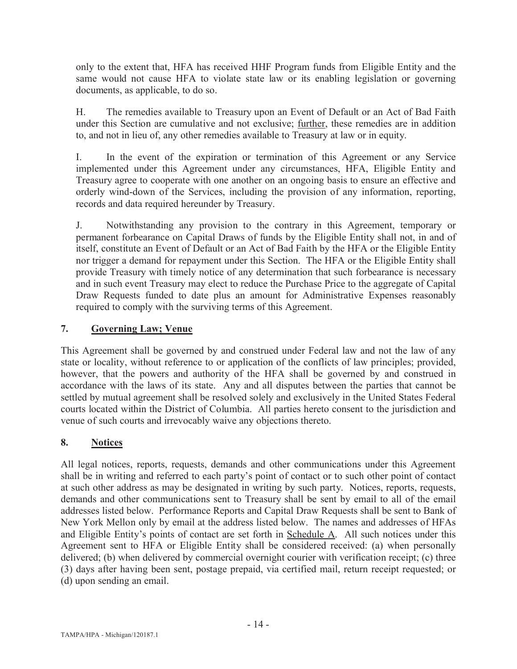only to the extent that, HFA has received HHF Program funds from Eligible Entity and the same would not cause HFA to violate state law or its enabling legislation or governing documents, as applicable, to do so.

H. The remedies available to Treasury upon an Event of Default or an Act of Bad Faith under this Section are cumulative and not exclusive; further, these remedies are in addition to, and not in lieu of, any other remedies available to Treasury at law or in equity.

I. In the event of the expiration or termination of this Agreement or any Service implemented under this Agreement under any circumstances, HFA, Eligible Entity and Treasury agree to cooperate with one another on an ongoing basis to ensure an effective and orderly wind-down of the Services, including the provision of any information, reporting, records and data required hereunder by Treasury.

J. Notwithstanding any provision to the contrary in this Agreement, temporary or permanent forbearance on Capital Draws of funds by the Eligible Entity shall not, in and of itself, constitute an Event of Default or an Act of Bad Faith by the HFA or the Eligible Entity nor trigger a demand for repayment under this Section. The HFA or the Eligible Entity shall provide Treasury with timely notice of any determination that such forbearance is necessary and in such event Treasury may elect to reduce the Purchase Price to the aggregate of Capital Draw Requests funded to date plus an amount for Administrative Expenses reasonably required to comply with the surviving terms of this Agreement.

### **7. Governing Law; Venue**

This Agreement shall be governed by and construed under Federal law and not the law of any state or locality, without reference to or application of the conflicts of law principles; provided, however, that the powers and authority of the HFA shall be governed by and construed in accordance with the laws of its state. Any and all disputes between the parties that cannot be settled by mutual agreement shall be resolved solely and exclusively in the United States Federal courts located within the District of Columbia. All parties hereto consent to the jurisdiction and venue of such courts and irrevocably waive any objections thereto.

### **8. Notices**

All legal notices, reports, requests, demands and other communications under this Agreement shall be in writing and referred to each party's point of contact or to such other point of contact at such other address as may be designated in writing by such party. Notices, reports, requests, demands and other communications sent to Treasury shall be sent by email to all of the email addresses listed below. Performance Reports and Capital Draw Requests shall be sent to Bank of New York Mellon only by email at the address listed below. The names and addresses of HFAs and Eligible Entity's points of contact are set forth in Schedule A. All such notices under this Agreement sent to HFA or Eligible Entity shall be considered received: (a) when personally delivered; (b) when delivered by commercial overnight courier with verification receipt; (c) three (3) days after having been sent, postage prepaid, via certified mail, return receipt requested; or (d) upon sending an email.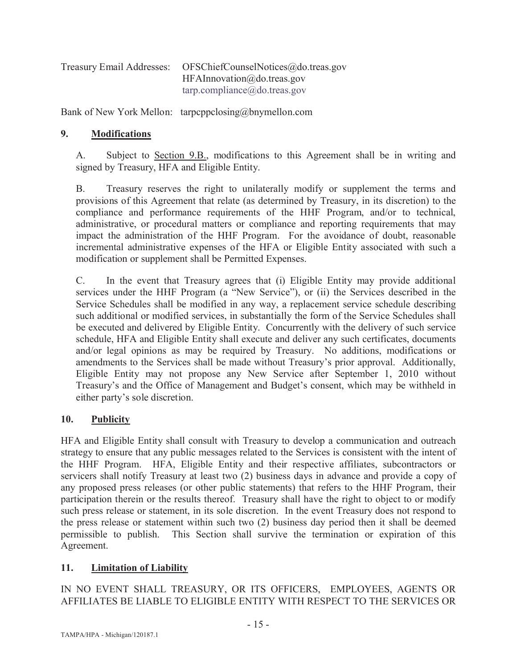| Treasury Email Addresses: | OFSChiefCounselNotices@do.treas.gov         |
|---------------------------|---------------------------------------------|
|                           | HFAInnovation@do.treas.gov                  |
|                           | $tarp.compileance(\partial_x do.treas.gov)$ |

Bank of New York Mellon: tarpcppclosing@bnymellon.com

### **9. Modifications**

A. Subject to Section 9.B., modifications to this Agreement shall be in writing and signed by Treasury, HFA and Eligible Entity.

B. Treasury reserves the right to unilaterally modify or supplement the terms and provisions of this Agreement that relate (as determined by Treasury, in its discretion) to the compliance and performance requirements of the HHF Program, and/or to technical, administrative, or procedural matters or compliance and reporting requirements that may impact the administration of the HHF Program. For the avoidance of doubt, reasonable incremental administrative expenses of the HFA or Eligible Entity associated with such a modification or supplement shall be Permitted Expenses.

C. In the event that Treasury agrees that (i) Eligible Entity may provide additional services under the HHF Program (a "New Service"), or (ii) the Services described in the Service Schedules shall be modified in any way, a replacement service schedule describing such additional or modified services, in substantially the form of the Service Schedules shall be executed and delivered by Eligible Entity. Concurrently with the delivery of such service schedule, HFA and Eligible Entity shall execute and deliver any such certificates, documents and/or legal opinions as may be required by Treasury. No additions, modifications or amendments to the Services shall be made without Treasury's prior approval. Additionally, Eligible Entity may not propose any New Service after September 1, 2010 without Treasury's and the Office of Management and Budget's consent, which may be withheld in either party's sole discretion.

### **10. Publicity**

HFA and Eligible Entity shall consult with Treasury to develop a communication and outreach strategy to ensure that any public messages related to the Services is consistent with the intent of the HHF Program. HFA, Eligible Entity and their respective affiliates, subcontractors or servicers shall notify Treasury at least two (2) business days in advance and provide a copy of any proposed press releases (or other public statements) that refers to the HHF Program, their participation therein or the results thereof. Treasury shall have the right to object to or modify such press release or statement, in its sole discretion. In the event Treasury does not respond to the press release or statement within such two (2) business day period then it shall be deemed permissible to publish. This Section shall survive the termination or expiration of this Agreement.

### **11. Limitation of Liability**

IN NO EVENT SHALL TREASURY, OR ITS OFFICERS, EMPLOYEES, AGENTS OR AFFILIATES BE LIABLE TO ELIGIBLE ENTITY WITH RESPECT TO THE SERVICES OR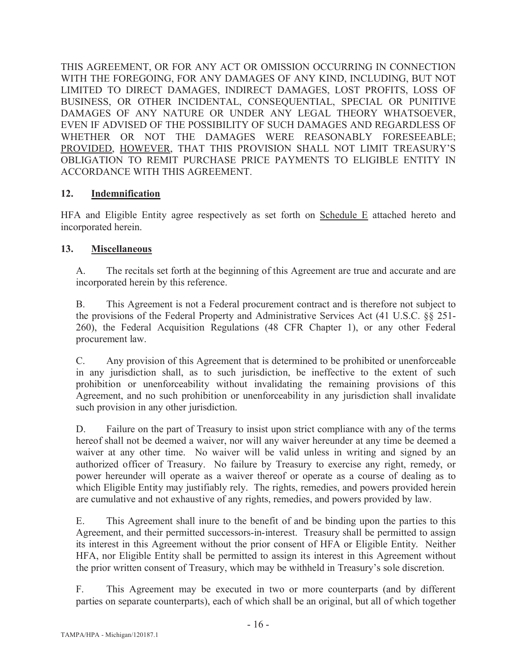THIS AGREEMENT, OR FOR ANY ACT OR OMISSION OCCURRING IN CONNECTION WITH THE FOREGOING, FOR ANY DAMAGES OF ANY KIND, INCLUDING, BUT NOT LIMITED TO DIRECT DAMAGES, INDIRECT DAMAGES, LOST PROFITS, LOSS OF BUSINESS, OR OTHER INCIDENTAL, CONSEQUENTIAL, SPECIAL OR PUNITIVE DAMAGES OF ANY NATURE OR UNDER ANY LEGAL THEORY WHATSOEVER, EVEN IF ADVISED OF THE POSSIBILITY OF SUCH DAMAGES AND REGARDLESS OF WHETHER OR NOT THE DAMAGES WERE REASONABLY FORESEEABLE; PROVIDED, HOWEVER, THAT THIS PROVISION SHALL NOT LIMIT TREASURY'S OBLIGATION TO REMIT PURCHASE PRICE PAYMENTS TO ELIGIBLE ENTITY IN ACCORDANCE WITH THIS AGREEMENT.

### **12. Indemnification**

HFA and Eligible Entity agree respectively as set forth on Schedule E attached hereto and incorporated herein.

### **13. Miscellaneous**

A. The recitals set forth at the beginning of this Agreement are true and accurate and are incorporated herein by this reference.

B. This Agreement is not a Federal procurement contract and is therefore not subject to the provisions of the Federal Property and Administrative Services Act (41 U.S.C. §§ 251- 260), the Federal Acquisition Regulations (48 CFR Chapter 1), or any other Federal procurement law.

C. Any provision of this Agreement that is determined to be prohibited or unenforceable in any jurisdiction shall, as to such jurisdiction, be ineffective to the extent of such prohibition or unenforceability without invalidating the remaining provisions of this Agreement, and no such prohibition or unenforceability in any jurisdiction shall invalidate such provision in any other jurisdiction.

D. Failure on the part of Treasury to insist upon strict compliance with any of the terms hereof shall not be deemed a waiver, nor will any waiver hereunder at any time be deemed a waiver at any other time. No waiver will be valid unless in writing and signed by an authorized officer of Treasury. No failure by Treasury to exercise any right, remedy, or power hereunder will operate as a waiver thereof or operate as a course of dealing as to which Eligible Entity may justifiably rely. The rights, remedies, and powers provided herein are cumulative and not exhaustive of any rights, remedies, and powers provided by law.

E. This Agreement shall inure to the benefit of and be binding upon the parties to this Agreement, and their permitted successors-in-interest. Treasury shall be permitted to assign its interest in this Agreement without the prior consent of HFA or Eligible Entity. Neither HFA, nor Eligible Entity shall be permitted to assign its interest in this Agreement without the prior written consent of Treasury, which may be withheld in Treasury's sole discretion.

F. This Agreement may be executed in two or more counterparts (and by different parties on separate counterparts), each of which shall be an original, but all of which together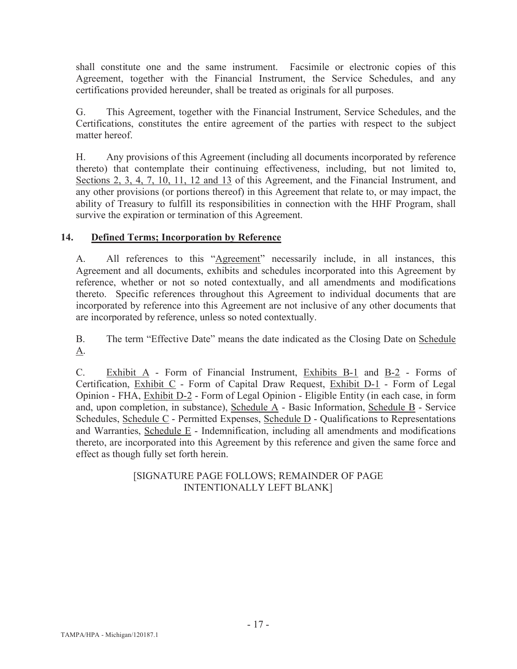shall constitute one and the same instrument. Facsimile or electronic copies of this Agreement, together with the Financial Instrument, the Service Schedules, and any certifications provided hereunder, shall be treated as originals for all purposes.

G. This Agreement, together with the Financial Instrument, Service Schedules, and the Certifications, constitutes the entire agreement of the parties with respect to the subject matter hereof.

H. Any provisions of this Agreement (including all documents incorporated by reference thereto) that contemplate their continuing effectiveness, including, but not limited to, Sections 2, 3, 4, 7, 10, 11, 12 and 13 of this Agreement, and the Financial Instrument, and any other provisions (or portions thereof) in this Agreement that relate to, or may impact, the ability of Treasury to fulfill its responsibilities in connection with the HHF Program, shall survive the expiration or termination of this Agreement.

### **14. Defined Terms; Incorporation by Reference**

A. All references to this "Agreement" necessarily include, in all instances, this Agreement and all documents, exhibits and schedules incorporated into this Agreement by reference, whether or not so noted contextually, and all amendments and modifications thereto. Specific references throughout this Agreement to individual documents that are incorporated by reference into this Agreement are not inclusive of any other documents that are incorporated by reference, unless so noted contextually.

B. The term "Effective Date" means the date indicated as the Closing Date on Schedule A.

C. Exhibit A - Form of Financial Instrument, Exhibits B-1 and B-2 - Forms of Certification, Exhibit C - Form of Capital Draw Request, Exhibit D-1 - Form of Legal Opinion - FHA, Exhibit D-2 - Form of Legal Opinion - Eligible Entity (in each case, in form and, upon completion, in substance), Schedule A - Basic Information, Schedule B - Service Schedules, Schedule C - Permitted Expenses, Schedule D - Qualifications to Representations and Warranties, Schedule E - Indemnification, including all amendments and modifications thereto, are incorporated into this Agreement by this reference and given the same force and effect as though fully set forth herein.

### [SIGNATURE PAGE FOLLOWS; REMAINDER OF PAGE INTENTIONALLY LEFT BLANK]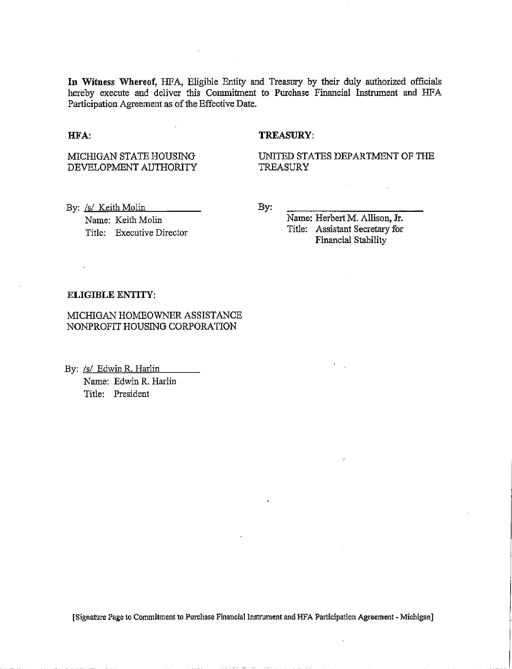**In** Witness Whereof, HFA, Eligible Entity and Treasury by their duly authorized officials hereby execute and deliver this Commitment to Purchase Financial Instrument and HFA Participation Agreement as of the Effective Date.

#### HFA:

#### TREASURY:

MICHIGAN STATE HOUSING DEVELOPMENT AUTHORITY UNITED STATES DEPARTMENT OF THE TREASURY

By: /s/ Keith Molin Name: Keith Molin Title: Executive Director By:

Name: Herbert M. Allison, Jr. Title: Assistant Secretary for Financial Stability

#### ELIGIBLE ENTITY:

MICHIGAN HOMEOWNER ASSISTANCE NONPROFIT HOUSING CORPORATION

By: /s/ Edwin R. Harlin

Name: Edwin R. Harlin Title: President

[Signature Page to Commitment to Purchase Financial Instrument and I-IFA Participation Agreement- Michigan]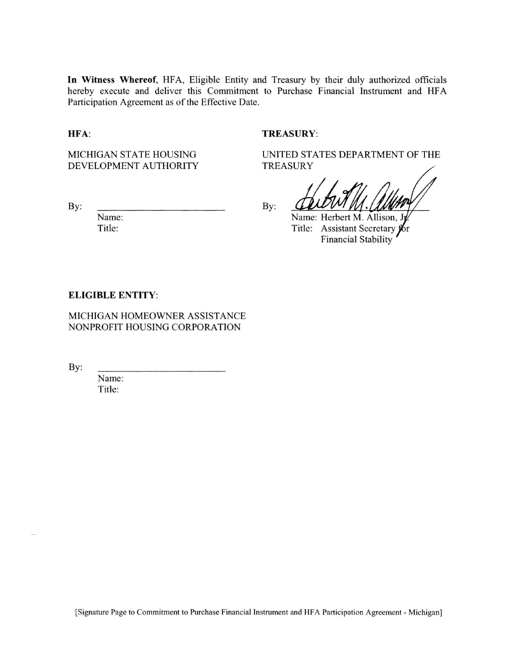**In** Witness Whereof, HFA, Eligible Entity and Treasury by their duly authorized officials hereby execute and deliver this Commitment to Purchase Financial Instrument and HFA Participation Agreement as of the Effective Date.

HFA:

MICHIGAN STATE HOUSING DEVELOPMENT AUTHORITY

By:

Name: Title:

TREASURY:

UNITED STATES DEPARTMENT OF THE TREASURY

By:

Name: Herbert M. Allison, . Title: Assistant Secretary for Financial Stability

#### **ELIGIBLE** ENTITY:

MICHIGAN HOMEOWNER ASSISTANCE NONPROFIT HOUSING CORPORATION

By:

Name: Title:

[Signature Page to Commitment to Purchase Financial Instrument and HFA Participation Agreement - Michigan]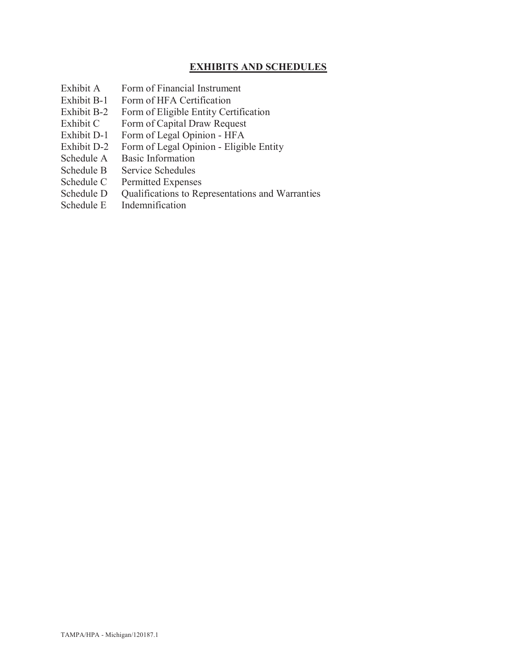### **EXHIBITS AND SCHEDULES**

- Exhibit A Form of Financial Instrument
- Exhibit B-1 Form of HFA Certification
- Exhibit B-2 Form of Eligible Entity Certification
- Exhibit C Form of Capital Draw Request
- Exhibit D-1 Form of Legal Opinion HFA
- Exhibit D-2 Form of Legal Opinion Eligible Entity
- Schedule A Basic Information
- Schedule B Service Schedules
- Schedule C Permitted Expenses
- Schedule D Qualifications to Representations and Warranties<br>Schedule E Indemnification
- **Indemnification**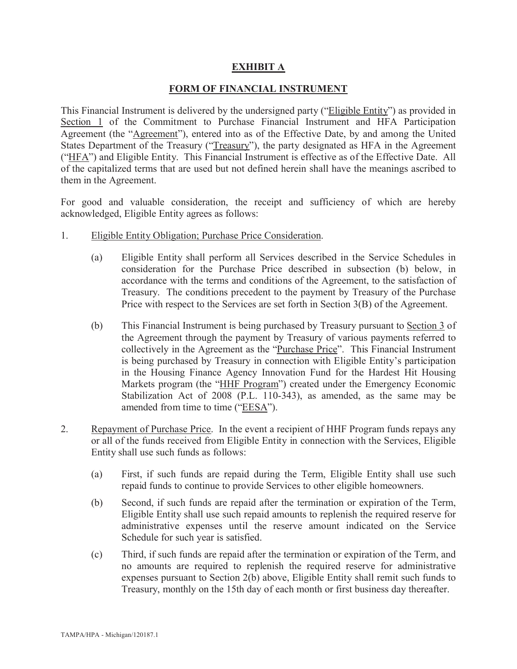### **EXHIBIT A**

#### **FORM OF FINANCIAL INSTRUMENT**

This Financial Instrument is delivered by the undersigned party ("Eligible Entity") as provided in Section 1 of the Commitment to Purchase Financial Instrument and HFA Participation Agreement (the "Agreement"), entered into as of the Effective Date, by and among the United States Department of the Treasury ("Treasury"), the party designated as HFA in the Agreement ("HFA") and Eligible Entity. This Financial Instrument is effective as of the Effective Date. All of the capitalized terms that are used but not defined herein shall have the meanings ascribed to them in the Agreement.

For good and valuable consideration, the receipt and sufficiency of which are hereby acknowledged, Eligible Entity agrees as follows:

- 1. Eligible Entity Obligation; Purchase Price Consideration.
	- (a) Eligible Entity shall perform all Services described in the Service Schedules in consideration for the Purchase Price described in subsection (b) below, in accordance with the terms and conditions of the Agreement, to the satisfaction of Treasury. The conditions precedent to the payment by Treasury of the Purchase Price with respect to the Services are set forth in Section 3(B) of the Agreement.
	- (b) This Financial Instrument is being purchased by Treasury pursuant to Section 3 of the Agreement through the payment by Treasury of various payments referred to collectively in the Agreement as the "Purchase Price". This Financial Instrument is being purchased by Treasury in connection with Eligible Entity's participation in the Housing Finance Agency Innovation Fund for the Hardest Hit Housing Markets program (the "HHF Program") created under the Emergency Economic Stabilization Act of 2008 (P.L. 110-343), as amended, as the same may be amended from time to time ("EESA").
- 2. Repayment of Purchase Price. In the event a recipient of HHF Program funds repays any or all of the funds received from Eligible Entity in connection with the Services, Eligible Entity shall use such funds as follows:
	- (a) First, if such funds are repaid during the Term, Eligible Entity shall use such repaid funds to continue to provide Services to other eligible homeowners.
	- (b) Second, if such funds are repaid after the termination or expiration of the Term, Eligible Entity shall use such repaid amounts to replenish the required reserve for administrative expenses until the reserve amount indicated on the Service Schedule for such year is satisfied.
	- (c) Third, if such funds are repaid after the termination or expiration of the Term, and no amounts are required to replenish the required reserve for administrative expenses pursuant to Section 2(b) above, Eligible Entity shall remit such funds to Treasury, monthly on the 15th day of each month or first business day thereafter.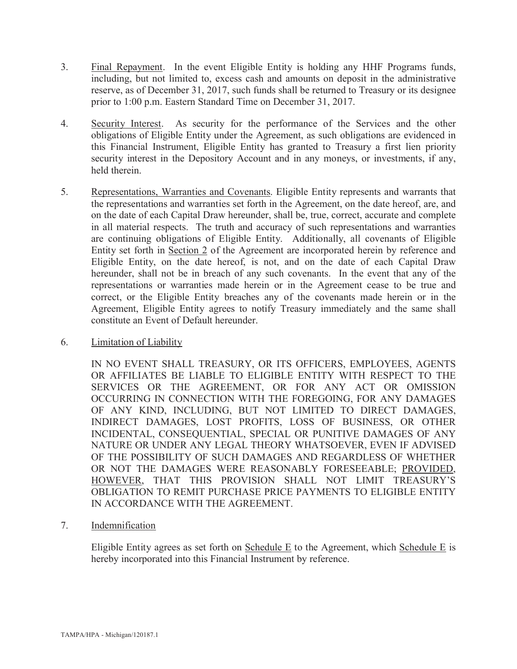- 3. Final Repayment. In the event Eligible Entity is holding any HHF Programs funds, including, but not limited to, excess cash and amounts on deposit in the administrative reserve, as of December 31, 2017, such funds shall be returned to Treasury or its designee prior to 1:00 p.m. Eastern Standard Time on December 31, 2017.
- 4. Security Interest. As security for the performance of the Services and the other obligations of Eligible Entity under the Agreement, as such obligations are evidenced in this Financial Instrument, Eligible Entity has granted to Treasury a first lien priority security interest in the Depository Account and in any moneys, or investments, if any, held therein.
- 5. Representations, Warranties and Covenants. Eligible Entity represents and warrants that the representations and warranties set forth in the Agreement, on the date hereof, are, and on the date of each Capital Draw hereunder, shall be, true, correct, accurate and complete in all material respects. The truth and accuracy of such representations and warranties are continuing obligations of Eligible Entity. Additionally, all covenants of Eligible Entity set forth in Section 2 of the Agreement are incorporated herein by reference and Eligible Entity, on the date hereof, is not, and on the date of each Capital Draw hereunder, shall not be in breach of any such covenants. In the event that any of the representations or warranties made herein or in the Agreement cease to be true and correct, or the Eligible Entity breaches any of the covenants made herein or in the Agreement, Eligible Entity agrees to notify Treasury immediately and the same shall constitute an Event of Default hereunder.
- 6. Limitation of Liability

IN NO EVENT SHALL TREASURY, OR ITS OFFICERS, EMPLOYEES, AGENTS OR AFFILIATES BE LIABLE TO ELIGIBLE ENTITY WITH RESPECT TO THE SERVICES OR THE AGREEMENT, OR FOR ANY ACT OR OMISSION OCCURRING IN CONNECTION WITH THE FOREGOING, FOR ANY DAMAGES OF ANY KIND, INCLUDING, BUT NOT LIMITED TO DIRECT DAMAGES, INDIRECT DAMAGES, LOST PROFITS, LOSS OF BUSINESS, OR OTHER INCIDENTAL, CONSEQUENTIAL, SPECIAL OR PUNITIVE DAMAGES OF ANY NATURE OR UNDER ANY LEGAL THEORY WHATSOEVER, EVEN IF ADVISED OF THE POSSIBILITY OF SUCH DAMAGES AND REGARDLESS OF WHETHER OR NOT THE DAMAGES WERE REASONABLY FORESEEABLE; PROVIDED, HOWEVER, THAT THIS PROVISION SHALL NOT LIMIT TREASURY'S OBLIGATION TO REMIT PURCHASE PRICE PAYMENTS TO ELIGIBLE ENTITY IN ACCORDANCE WITH THE AGREEMENT.

7. Indemnification

Eligible Entity agrees as set forth on Schedule E to the Agreement, which Schedule E is hereby incorporated into this Financial Instrument by reference.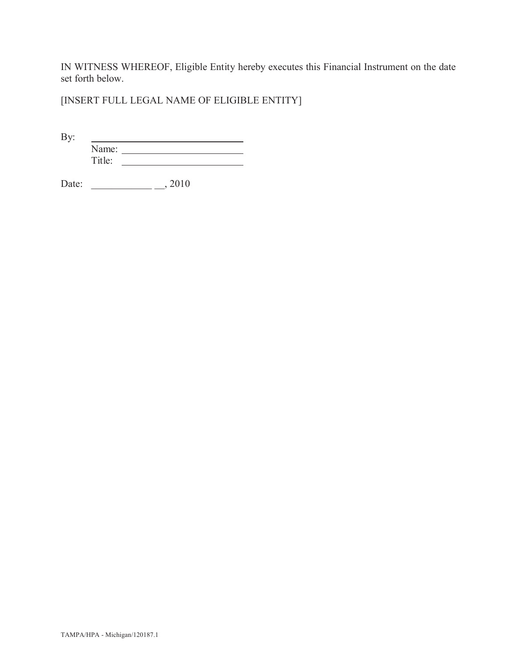IN WITNESS WHEREOF, Eligible Entity hereby executes this Financial Instrument on the date set forth below.

[INSERT FULL LEGAL NAME OF ELIGIBLE ENTITY]

By:

Name: Title:

Date: \_\_\_\_\_\_\_\_\_\_\_\_\_\_\_\_\_\_\_\_\_\_\_\_\_\_, 2010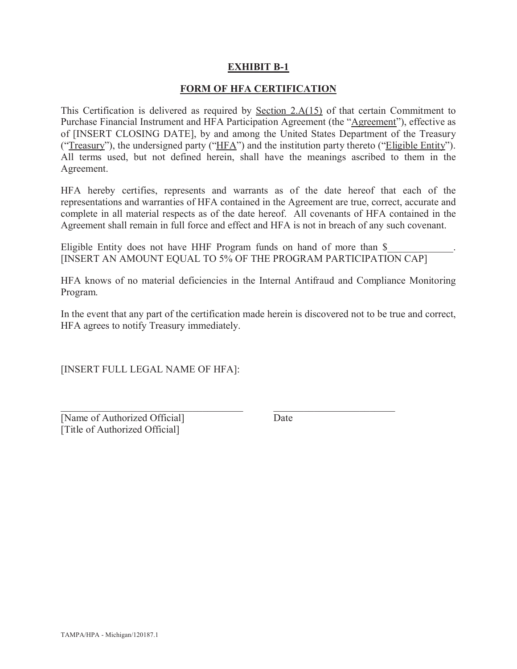### **EXHIBIT B-1**

#### **FORM OF HFA CERTIFICATION**

This Certification is delivered as required by Section 2.A(15) of that certain Commitment to Purchase Financial Instrument and HFA Participation Agreement (the "Agreement"), effective as of [INSERT CLOSING DATE], by and among the United States Department of the Treasury ("Treasury"), the undersigned party ("HFA") and the institution party thereto ("Eligible Entity"). All terms used, but not defined herein, shall have the meanings ascribed to them in the Agreement.

HFA hereby certifies, represents and warrants as of the date hereof that each of the representations and warranties of HFA contained in the Agreement are true, correct, accurate and complete in all material respects as of the date hereof. All covenants of HFA contained in the Agreement shall remain in full force and effect and HFA is not in breach of any such covenant.

Eligible Entity does not have HHF Program funds on hand of more than  $\$ [INSERT AN AMOUNT EQUAL TO 5% OF THE PROGRAM PARTICIPATION CAP]

HFA knows of no material deficiencies in the Internal Antifraud and Compliance Monitoring Program.

In the event that any part of the certification made herein is discovered not to be true and correct, HFA agrees to notify Treasury immediately.

 $\_$  ,  $\_$  ,  $\_$  ,  $\_$  ,  $\_$  ,  $\_$  ,  $\_$  ,  $\_$  ,  $\_$  ,  $\_$  ,  $\_$  ,  $\_$  ,  $\_$  ,  $\_$  ,  $\_$  ,  $\_$  ,  $\_$  ,  $\_$  ,  $\_$ 

[INSERT FULL LEGAL NAME OF HFA]:

[Name of Authorized Official] Date [Title of Authorized Official]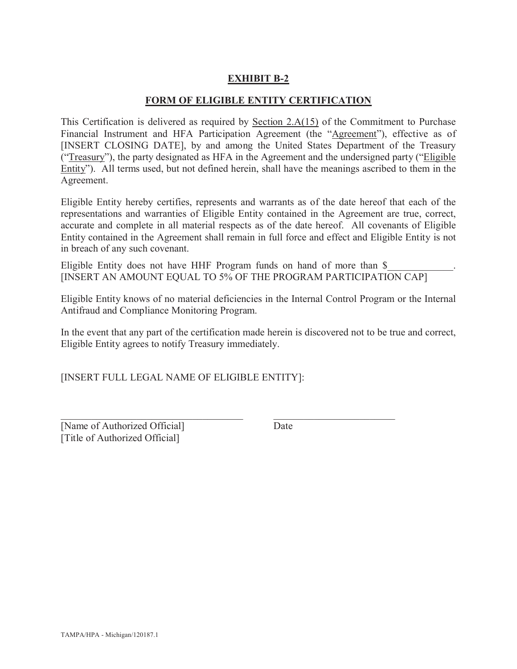### **EXHIBIT B-2**

#### **FORM OF ELIGIBLE ENTITY CERTIFICATION**

This Certification is delivered as required by Section 2.A(15) of the Commitment to Purchase Financial Instrument and HFA Participation Agreement (the "Agreement"), effective as of [INSERT CLOSING DATE], by and among the United States Department of the Treasury ("Treasury"), the party designated as HFA in the Agreement and the undersigned party ("Eligible Entity"). All terms used, but not defined herein, shall have the meanings ascribed to them in the Agreement.

Eligible Entity hereby certifies, represents and warrants as of the date hereof that each of the representations and warranties of Eligible Entity contained in the Agreement are true, correct, accurate and complete in all material respects as of the date hereof. All covenants of Eligible Entity contained in the Agreement shall remain in full force and effect and Eligible Entity is not in breach of any such covenant.

Eligible Entity does not have HHF Program funds on hand of more than  $\$$ [INSERT AN AMOUNT EQUAL TO 5% OF THE PROGRAM PARTICIPATION CAP]

Eligible Entity knows of no material deficiencies in the Internal Control Program or the Internal Antifraud and Compliance Monitoring Program.

In the event that any part of the certification made herein is discovered not to be true and correct, Eligible Entity agrees to notify Treasury immediately.

 $\mathcal{L}_\text{max}$  , and the contribution of the contribution of the contribution of the contribution of the contribution of the contribution of the contribution of the contribution of the contribution of the contribution of t

[INSERT FULL LEGAL NAME OF ELIGIBLE ENTITY]:

[Name of Authorized Official] Date [Title of Authorized Official]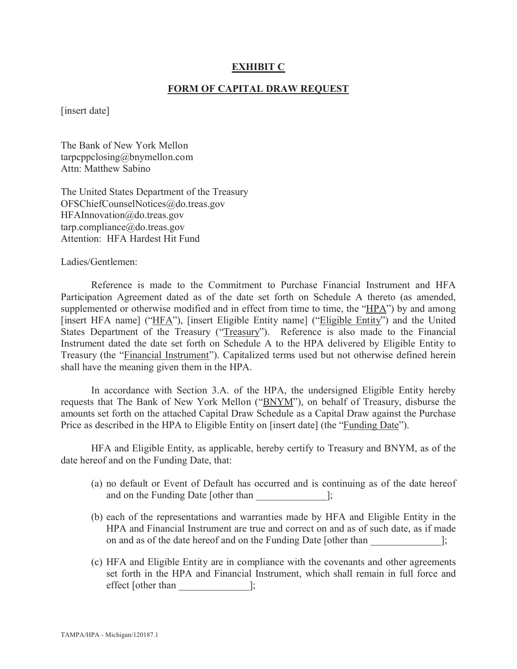#### **EXHIBIT C**

#### **FORM OF CAPITAL DRAW REQUEST**

[insert date]

The Bank of New York Mellon tarpcppclosing@bnymellon.com Attn: Matthew Sabino

The United States Department of the Treasury OFSChiefCounselNotices@do.treas.gov HFAInnovation@do.treas.gov tarp.compliance@do.treas.gov Attention: HFA Hardest Hit Fund

Ladies/Gentlemen:

Reference is made to the Commitment to Purchase Financial Instrument and HFA Participation Agreement dated as of the date set forth on Schedule A thereto (as amended, supplemented or otherwise modified and in effect from time to time, the " $HPA$ ") by and among [insert HFA name] ("HFA"), [insert Eligible Entity name] ("Eligible Entity") and the United States Department of the Treasury ("Treasury"). Reference is also made to the Financial Instrument dated the date set forth on Schedule A to the HPA delivered by Eligible Entity to Treasury (the "Financial Instrument"). Capitalized terms used but not otherwise defined herein shall have the meaning given them in the HPA.

In accordance with Section 3.A. of the HPA, the undersigned Eligible Entity hereby requests that The Bank of New York Mellon ("BNYM"), on behalf of Treasury, disburse the amounts set forth on the attached Capital Draw Schedule as a Capital Draw against the Purchase Price as described in the HPA to Eligible Entity on [insert date] (the "Funding Date").

HFA and Eligible Entity, as applicable, hereby certify to Treasury and BNYM, as of the date hereof and on the Funding Date, that:

- (a) no default or Event of Default has occurred and is continuing as of the date hereof and on the Funding Date [other than ];
- (b) each of the representations and warranties made by HFA and Eligible Entity in the HPA and Financial Instrument are true and correct on and as of such date, as if made on and as of the date hereof and on the Funding Date [other than  $\cdot$ ];
- (c) HFA and Eligible Entity are in compliance with the covenants and other agreements set forth in the HPA and Financial Instrument, which shall remain in full force and effect [other than  $\qquad \qquad$  ];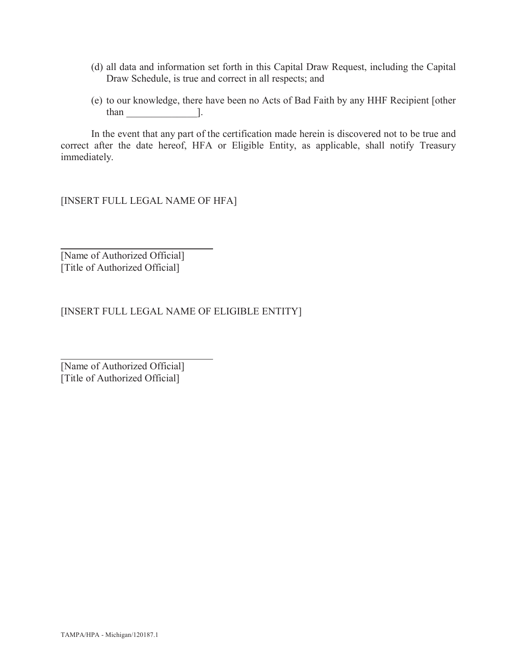- (d) all data and information set forth in this Capital Draw Request, including the Capital Draw Schedule, is true and correct in all respects; and
- (e) to our knowledge, there have been no Acts of Bad Faith by any HHF Recipient [other  $than$  ].

In the event that any part of the certification made herein is discovered not to be true and correct after the date hereof, HFA or Eligible Entity, as applicable, shall notify Treasury immediately.

[INSERT FULL LEGAL NAME OF HFA]

[Name of Authorized Official] [Title of Authorized Official]

[INSERT FULL LEGAL NAME OF ELIGIBLE ENTITY]

[Name of Authorized Official] [Title of Authorized Official]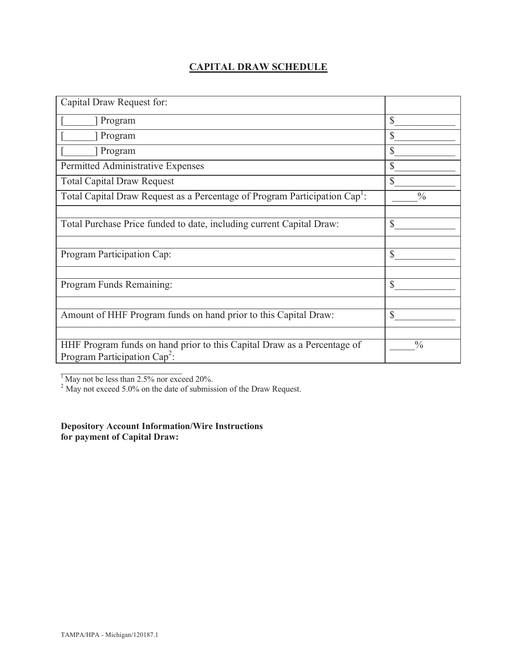## **CAPITAL DRAW SCHEDULE**

| Capital Draw Request for:                                                                                  |               |
|------------------------------------------------------------------------------------------------------------|---------------|
| Program                                                                                                    | $\mathbb{S}$  |
| Program                                                                                                    | \$            |
| Program                                                                                                    | \$            |
| Permitted Administrative Expenses                                                                          | $\mathbb{S}$  |
| <b>Total Capital Draw Request</b>                                                                          | $\mathcal{S}$ |
| Total Capital Draw Request as a Percentage of Program Participation Cap <sup>1</sup> :                     | $\frac{0}{0}$ |
|                                                                                                            |               |
| Total Purchase Price funded to date, including current Capital Draw:                                       | $\mathbb{S}$  |
|                                                                                                            |               |
| Program Participation Cap:                                                                                 | \$            |
|                                                                                                            |               |
| Program Funds Remaining:                                                                                   | \$            |
|                                                                                                            |               |
| Amount of HHF Program funds on hand prior to this Capital Draw:                                            | \$            |
|                                                                                                            |               |
| HHF Program funds on hand prior to this Capital Draw as a Percentage of<br>Program Participation $Cap^2$ : | $\frac{0}{0}$ |
|                                                                                                            |               |

<sup>1</sup> May not be less than 2.5% nor exceed 20%.

 $2^{2}$  May not exceed 5.0% on the date of submission of the Draw Request.

**Depository Account Information/Wire Instructions for payment of Capital Draw:**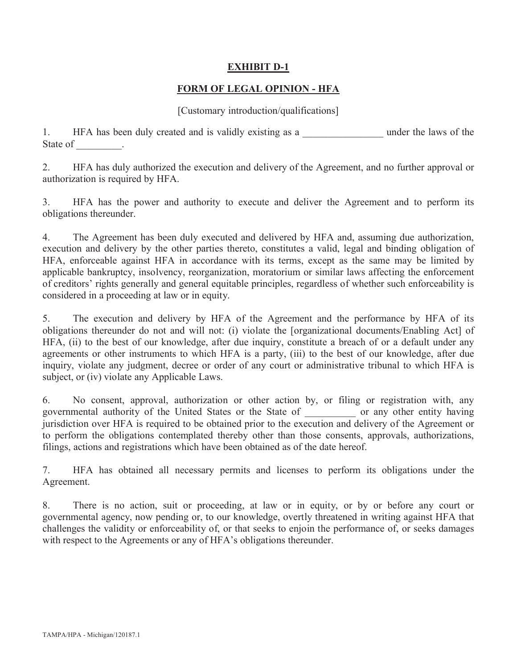### **EXHIBIT D-1**

### **FORM OF LEGAL OPINION - HFA**

#### [Customary introduction/qualifications]

1. HFA has been duly created and is validly existing as a metal under the laws of the State of \_\_\_\_\_\_\_\_\_.

2. HFA has duly authorized the execution and delivery of the Agreement, and no further approval or authorization is required by HFA.

3. HFA has the power and authority to execute and deliver the Agreement and to perform its obligations thereunder.

4. The Agreement has been duly executed and delivered by HFA and, assuming due authorization, execution and delivery by the other parties thereto, constitutes a valid, legal and binding obligation of HFA, enforceable against HFA in accordance with its terms, except as the same may be limited by applicable bankruptcy, insolvency, reorganization, moratorium or similar laws affecting the enforcement of creditors' rights generally and general equitable principles, regardless of whether such enforceability is considered in a proceeding at law or in equity.

5. The execution and delivery by HFA of the Agreement and the performance by HFA of its obligations thereunder do not and will not: (i) violate the [organizational documents/Enabling Act] of HFA, (ii) to the best of our knowledge, after due inquiry, constitute a breach of or a default under any agreements or other instruments to which HFA is a party, (iii) to the best of our knowledge, after due inquiry, violate any judgment, decree or order of any court or administrative tribunal to which HFA is subject, or (iv) violate any Applicable Laws.

6. No consent, approval, authorization or other action by, or filing or registration with, any governmental authority of the United States or the State of \_\_\_\_\_\_\_\_\_\_ or any other entity having jurisdiction over HFA is required to be obtained prior to the execution and delivery of the Agreement or to perform the obligations contemplated thereby other than those consents, approvals, authorizations, filings, actions and registrations which have been obtained as of the date hereof.

7. HFA has obtained all necessary permits and licenses to perform its obligations under the Agreement.

8. There is no action, suit or proceeding, at law or in equity, or by or before any court or governmental agency, now pending or, to our knowledge, overtly threatened in writing against HFA that challenges the validity or enforceability of, or that seeks to enjoin the performance of, or seeks damages with respect to the Agreements or any of HFA's obligations thereunder.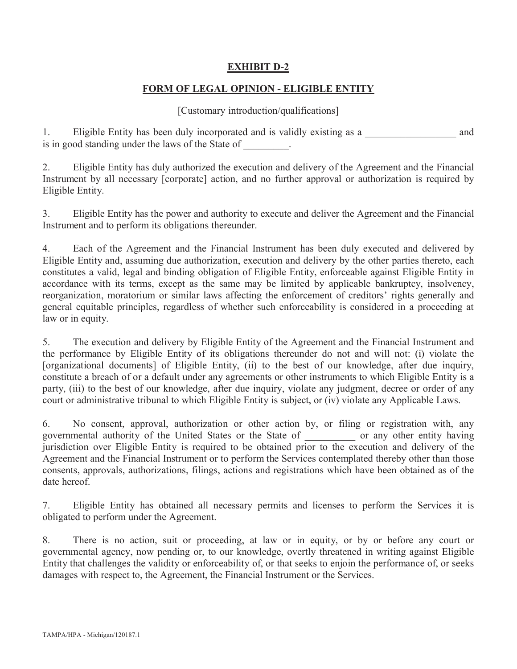### **EXHIBIT D-2**

### **FORM OF LEGAL OPINION - ELIGIBLE ENTITY**

#### [Customary introduction/qualifications]

1. Eligible Entity has been duly incorporated and is validly existing as a measural and and is in good standing under the laws of the State of  $\qquad \qquad$ .

2. Eligible Entity has duly authorized the execution and delivery of the Agreement and the Financial Instrument by all necessary [corporate] action, and no further approval or authorization is required by Eligible Entity.

3. Eligible Entity has the power and authority to execute and deliver the Agreement and the Financial Instrument and to perform its obligations thereunder.

4. Each of the Agreement and the Financial Instrument has been duly executed and delivered by Eligible Entity and, assuming due authorization, execution and delivery by the other parties thereto, each constitutes a valid, legal and binding obligation of Eligible Entity, enforceable against Eligible Entity in accordance with its terms, except as the same may be limited by applicable bankruptcy, insolvency, reorganization, moratorium or similar laws affecting the enforcement of creditors' rights generally and general equitable principles, regardless of whether such enforceability is considered in a proceeding at law or in equity.

5. The execution and delivery by Eligible Entity of the Agreement and the Financial Instrument and the performance by Eligible Entity of its obligations thereunder do not and will not: (i) violate the [organizational documents] of Eligible Entity, (ii) to the best of our knowledge, after due inquiry, constitute a breach of or a default under any agreements or other instruments to which Eligible Entity is a party, (iii) to the best of our knowledge, after due inquiry, violate any judgment, decree or order of any court or administrative tribunal to which Eligible Entity is subject, or (iv) violate any Applicable Laws.

6. No consent, approval, authorization or other action by, or filing or registration with, any governmental authority of the United States or the State of \_\_\_\_\_\_\_\_\_\_ or any other entity having jurisdiction over Eligible Entity is required to be obtained prior to the execution and delivery of the Agreement and the Financial Instrument or to perform the Services contemplated thereby other than those consents, approvals, authorizations, filings, actions and registrations which have been obtained as of the date hereof.

7. Eligible Entity has obtained all necessary permits and licenses to perform the Services it is obligated to perform under the Agreement.

8. There is no action, suit or proceeding, at law or in equity, or by or before any court or governmental agency, now pending or, to our knowledge, overtly threatened in writing against Eligible Entity that challenges the validity or enforceability of, or that seeks to enjoin the performance of, or seeks damages with respect to, the Agreement, the Financial Instrument or the Services.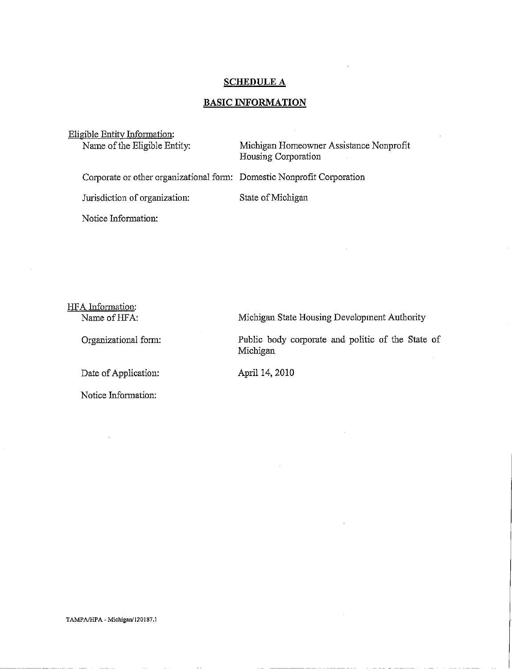#### SCHEDULE A

#### **BASIC INFORMATION**

Eligible Entity Information:<br>Name of the Eligible Entity:

Michigan Homeowner Assistance Nonprofit Housing Corporation

Corporate or other organizational fonn: Domestic Nonprofit Corporation

Jurisdiction of organization:

State of Michigan

Notice Infonnation:

HFA Information: Name of HFA:

Organizational fonn:

Date of Application:

Notice Information:

Michigan State Housing Development Authority

Public body corporate and politic of the State of Michigan

April 14, 2010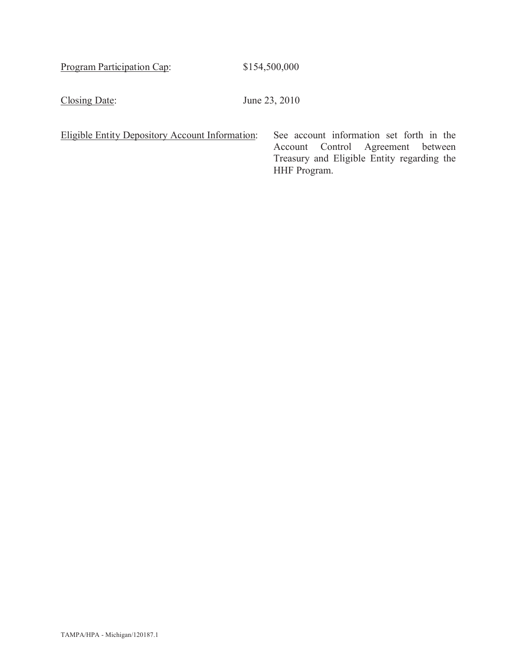Program Participation Cap: \$154,500,000

Closing Date: June 23, 2010

|  | Eligible Entity Depository Account Information: | $S_6$ |
|--|-------------------------------------------------|-------|
|  |                                                 |       |

ee account information set forth in the Account Control Agreement between Treasury and Eligible Entity regarding the HHF Program.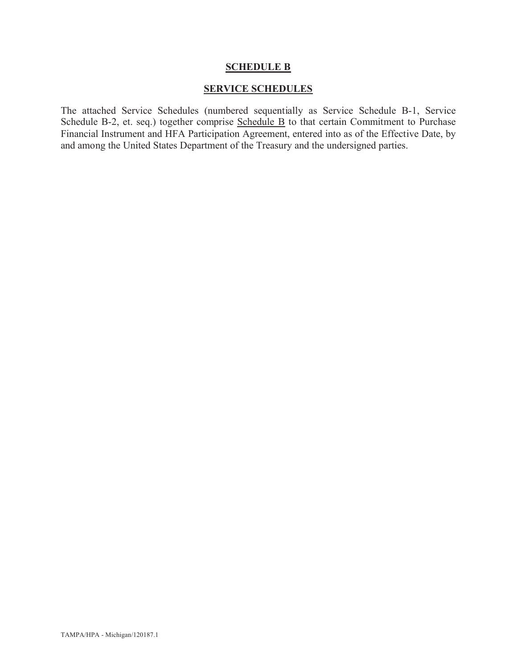#### **SCHEDULE B**

#### **SERVICE SCHEDULES**

The attached Service Schedules (numbered sequentially as Service Schedule B-1, Service Schedule B-2, et. seq.) together comprise Schedule B to that certain Commitment to Purchase Financial Instrument and HFA Participation Agreement, entered into as of the Effective Date, by and among the United States Department of the Treasury and the undersigned parties.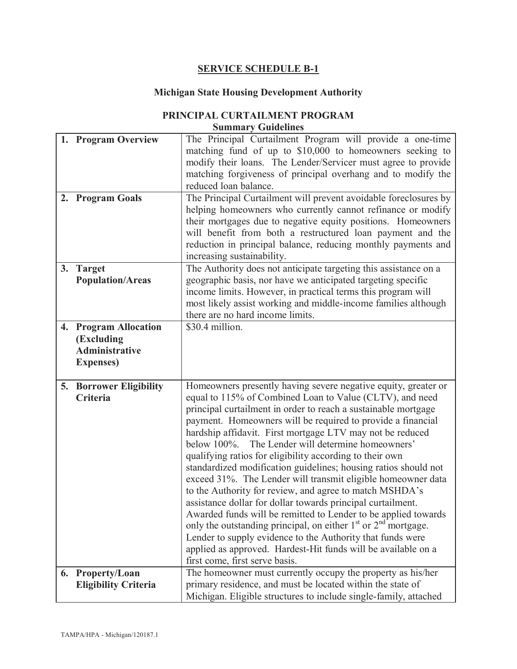### **SERVICE SCHEDULE B-1**

## **Michigan State Housing Development Authority**

#### **PRINCIPAL CURTAILMENT PROGRAM Summary Guidelines**

|    | 1. Program Overview         | The Principal Curtailment Program will provide a one-time                                                                      |  |
|----|-----------------------------|--------------------------------------------------------------------------------------------------------------------------------|--|
|    |                             | matching fund of up to \$10,000 to homeowners seeking to                                                                       |  |
|    |                             | modify their loans. The Lender/Servicer must agree to provide                                                                  |  |
|    |                             | matching forgiveness of principal overhang and to modify the                                                                   |  |
|    |                             | reduced loan balance.                                                                                                          |  |
|    | 2. Program Goals            | The Principal Curtailment will prevent avoidable foreclosures by                                                               |  |
|    |                             | helping homeowners who currently cannot refinance or modify                                                                    |  |
|    |                             | their mortgages due to negative equity positions. Homeowners                                                                   |  |
|    |                             | will benefit from both a restructured loan payment and the                                                                     |  |
|    |                             | reduction in principal balance, reducing monthly payments and                                                                  |  |
|    |                             | increasing sustainability.                                                                                                     |  |
| 3. | <b>Target</b>               | The Authority does not anticipate targeting this assistance on a                                                               |  |
|    | <b>Population/Areas</b>     | geographic basis, nor have we anticipated targeting specific                                                                   |  |
|    |                             | income limits. However, in practical terms this program will                                                                   |  |
|    |                             | most likely assist working and middle-income families although                                                                 |  |
|    |                             | there are no hard income limits.                                                                                               |  |
|    |                             | \$30.4 million.                                                                                                                |  |
|    | 4. Program Allocation       |                                                                                                                                |  |
|    | (Excluding                  |                                                                                                                                |  |
|    | <b>Administrative</b>       |                                                                                                                                |  |
|    | <b>Expenses</b> )           |                                                                                                                                |  |
|    |                             |                                                                                                                                |  |
|    |                             |                                                                                                                                |  |
|    | 5. Borrower Eligibility     | Homeowners presently having severe negative equity, greater or                                                                 |  |
|    | <b>Criteria</b>             | equal to 115% of Combined Loan to Value (CLTV), and need                                                                       |  |
|    |                             | principal curtailment in order to reach a sustainable mortgage                                                                 |  |
|    |                             | payment. Homeowners will be required to provide a financial                                                                    |  |
|    |                             | hardship affidavit. First mortgage LTV may not be reduced                                                                      |  |
|    |                             | below 100%. The Lender will determine homeowners'                                                                              |  |
|    |                             | qualifying ratios for eligibility according to their own                                                                       |  |
|    |                             | standardized modification guidelines; housing ratios should not                                                                |  |
|    |                             | exceed 31%. The Lender will transmit eligible homeowner data                                                                   |  |
|    |                             | to the Authority for review, and agree to match MSHDA's                                                                        |  |
|    |                             | assistance dollar for dollar towards principal curtailment.                                                                    |  |
|    |                             | Awarded funds will be remitted to Lender to be applied towards                                                                 |  |
|    |                             | only the outstanding principal, on either $1st$ or $2nd$ mortgage.                                                             |  |
|    |                             | Lender to supply evidence to the Authority that funds were                                                                     |  |
|    |                             | applied as approved. Hardest-Hit funds will be available on a                                                                  |  |
|    |                             | first come, first serve basis.                                                                                                 |  |
|    | 6. Property/Loan            | The homeowner must currently occupy the property as his/her                                                                    |  |
|    | <b>Eligibility Criteria</b> | primary residence, and must be located within the state of<br>Michigan. Eligible structures to include single-family, attached |  |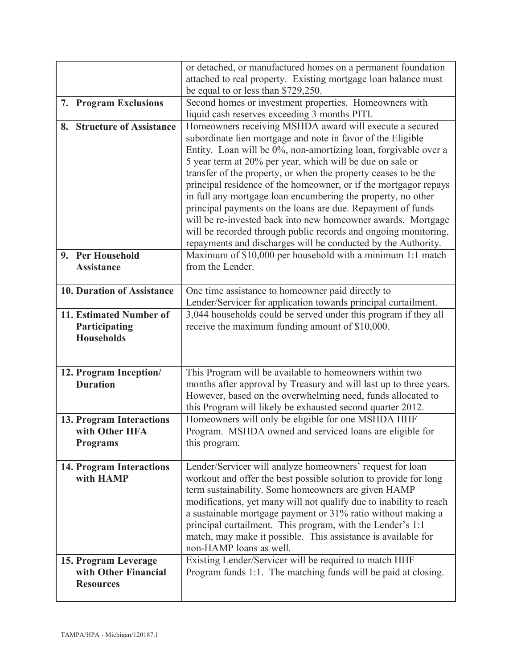|                                                                  | or detached, or manufactured homes on a permanent foundation<br>attached to real property. Existing mortgage loan balance must                                                                                                                                                                                                                                                                                                                                                                                                                                                                                                                                                                                                   |  |
|------------------------------------------------------------------|----------------------------------------------------------------------------------------------------------------------------------------------------------------------------------------------------------------------------------------------------------------------------------------------------------------------------------------------------------------------------------------------------------------------------------------------------------------------------------------------------------------------------------------------------------------------------------------------------------------------------------------------------------------------------------------------------------------------------------|--|
|                                                                  | be equal to or less than \$729,250.                                                                                                                                                                                                                                                                                                                                                                                                                                                                                                                                                                                                                                                                                              |  |
| <b>Program Exclusions</b><br>7.                                  | Second homes or investment properties. Homeowners with<br>liquid cash reserves exceeding 3 months PITI.                                                                                                                                                                                                                                                                                                                                                                                                                                                                                                                                                                                                                          |  |
| 8. Structure of Assistance                                       | Homeowners receiving MSHDA award will execute a secured<br>subordinate lien mortgage and note in favor of the Eligible<br>Entity. Loan will be 0%, non-amortizing loan, forgivable over a<br>5 year term at 20% per year, which will be due on sale or<br>transfer of the property, or when the property ceases to be the<br>principal residence of the homeowner, or if the mortgagor repays<br>in full any mortgage loan encumbering the property, no other<br>principal payments on the loans are due. Repayment of funds<br>will be re-invested back into new homeowner awards. Mortgage<br>will be recorded through public records and ongoing monitoring,<br>repayments and discharges will be conducted by the Authority. |  |
| 9. Per Household<br><b>Assistance</b>                            | Maximum of \$10,000 per household with a minimum 1:1 match<br>from the Lender.                                                                                                                                                                                                                                                                                                                                                                                                                                                                                                                                                                                                                                                   |  |
| <b>10. Duration of Assistance</b>                                | One time assistance to homeowner paid directly to<br>Lender/Servicer for application towards principal curtailment.                                                                                                                                                                                                                                                                                                                                                                                                                                                                                                                                                                                                              |  |
| 11. Estimated Number of<br>Participating<br><b>Households</b>    | 3,044 households could be served under this program if they all<br>receive the maximum funding amount of \$10,000.                                                                                                                                                                                                                                                                                                                                                                                                                                                                                                                                                                                                               |  |
| 12. Program Inception/<br><b>Duration</b>                        | This Program will be available to homeowners within two<br>months after approval by Treasury and will last up to three years.<br>However, based on the overwhelming need, funds allocated to<br>this Program will likely be exhausted second quarter 2012.                                                                                                                                                                                                                                                                                                                                                                                                                                                                       |  |
| 13. Program Interactions<br>with Other HFA<br><b>Programs</b>    | Homeowners will only be eligible for one MSHDA HHF<br>Program. MSHDA owned and serviced loans are eligible for<br>this program.                                                                                                                                                                                                                                                                                                                                                                                                                                                                                                                                                                                                  |  |
| <b>14. Program Interactions</b><br>with HAMP                     | Lender/Servicer will analyze homeowners' request for loan<br>workout and offer the best possible solution to provide for long<br>term sustainability. Some homeowners are given HAMP<br>modifications, yet many will not qualify due to inability to reach<br>a sustainable mortgage payment or 31% ratio without making a<br>principal curtailment. This program, with the Lender's 1:1<br>match, may make it possible. This assistance is available for<br>non-HAMP loans as well.                                                                                                                                                                                                                                             |  |
| 15. Program Leverage<br>with Other Financial<br><b>Resources</b> | Existing Lender/Servicer will be required to match HHF<br>Program funds 1:1. The matching funds will be paid at closing.                                                                                                                                                                                                                                                                                                                                                                                                                                                                                                                                                                                                         |  |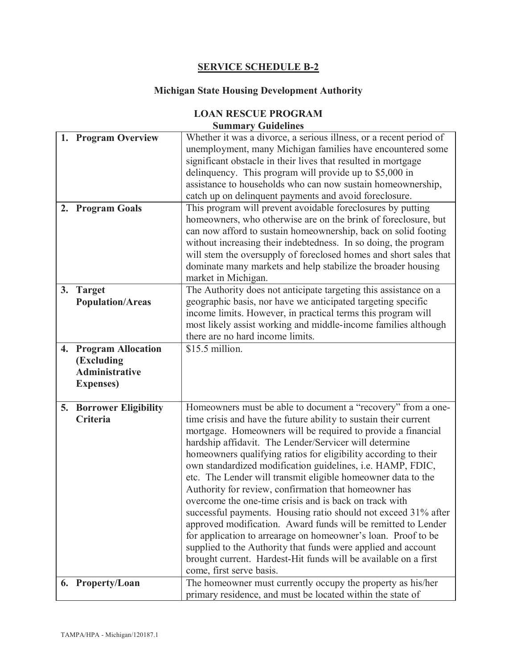## **SERVICE SCHEDULE B-2**

## **Michigan State Housing Development Authority**

## **LOAN RESCUE PROGRAM**

# **Summary Guidelines**

|    | 1. Program Overview            | Whether it was a divorce, a serious illness, or a recent period of |
|----|--------------------------------|--------------------------------------------------------------------|
|    |                                | unemployment, many Michigan families have encountered some         |
|    |                                | significant obstacle in their lives that resulted in mortgage      |
|    |                                | delinquency. This program will provide up to \$5,000 in            |
|    |                                | assistance to households who can now sustain homeownership,        |
|    |                                | catch up on delinquent payments and avoid foreclosure.             |
|    | 2. Program Goals               | This program will prevent avoidable foreclosures by putting        |
|    |                                | homeowners, who otherwise are on the brink of foreclosure, but     |
|    |                                | can now afford to sustain homeownership, back on solid footing     |
|    |                                | without increasing their indebtedness. In so doing, the program    |
|    |                                | will stem the oversupply of foreclosed homes and short sales that  |
|    |                                | dominate many markets and help stabilize the broader housing       |
|    |                                | market in Michigan.                                                |
| 3. | <b>Target</b>                  | The Authority does not anticipate targeting this assistance on a   |
|    | <b>Population/Areas</b>        | geographic basis, nor have we anticipated targeting specific       |
|    |                                | income limits. However, in practical terms this program will       |
|    |                                | most likely assist working and middle-income families although     |
|    |                                | there are no hard income limits.                                   |
| 4. | <b>Program Allocation</b>      | \$15.5 million.                                                    |
|    | (Excluding                     |                                                                    |
|    | <b>Administrative</b>          |                                                                    |
|    | <b>Expenses</b> )              |                                                                    |
|    |                                |                                                                    |
|    | <b>5. Borrower Eligibility</b> | Homeowners must be able to document a "recovery" from a one-       |
|    | Criteria                       | time crisis and have the future ability to sustain their current   |
|    |                                | mortgage. Homeowners will be required to provide a financial       |
|    |                                | hardship affidavit. The Lender/Servicer will determine             |
|    |                                | homeowners qualifying ratios for eligibility according to their    |
|    |                                | own standardized modification guidelines, i.e. HAMP, FDIC,         |
|    |                                | etc. The Lender will transmit eligible homeowner data to the       |
|    |                                | Authority for review, confirmation that homeowner has              |
|    |                                | overcome the one-time crisis and is back on track with             |
|    |                                | successful payments. Housing ratio should not exceed 31% after     |
|    |                                | approved modification. Award funds will be remitted to Lender      |
|    |                                | for application to arrearage on homeowner's loan. Proof to be      |
|    |                                | supplied to the Authority that funds were applied and account      |
|    |                                | brought current. Hardest-Hit funds will be available on a first    |
|    |                                | come, first serve basis.                                           |
|    | 6. Property/Loan               | The homeowner must currently occupy the property as his/her        |
|    |                                | primary residence, and must be located within the state of         |
|    |                                |                                                                    |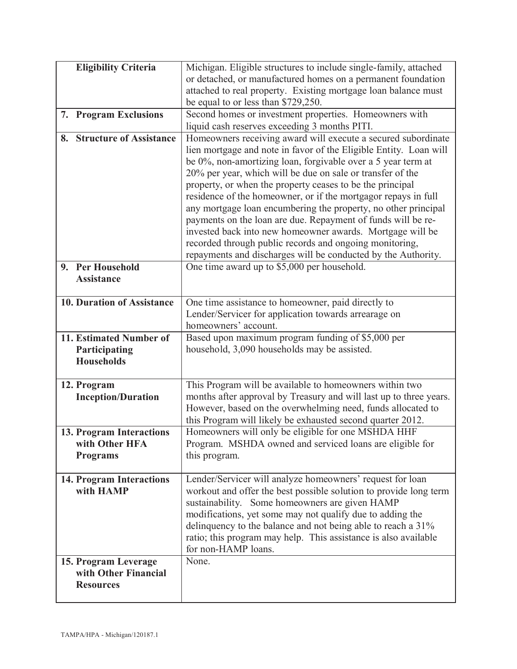| <b>Eligibility Criteria</b>        | Michigan. Eligible structures to include single-family, attached                                                     |  |
|------------------------------------|----------------------------------------------------------------------------------------------------------------------|--|
|                                    | or detached, or manufactured homes on a permanent foundation                                                         |  |
|                                    | attached to real property. Existing mortgage loan balance must                                                       |  |
|                                    | be equal to or less than \$729,250.                                                                                  |  |
| 7. Program Exclusions              | Second homes or investment properties. Homeowners with<br>liquid cash reserves exceeding 3 months PITI.              |  |
| 8. Structure of Assistance         | Homeowners receiving award will execute a secured subordinate                                                        |  |
|                                    | lien mortgage and note in favor of the Eligible Entity. Loan will                                                    |  |
|                                    | be 0%, non-amortizing loan, forgivable over a 5 year term at                                                         |  |
|                                    | 20% per year, which will be due on sale or transfer of the                                                           |  |
|                                    | property, or when the property ceases to be the principal                                                            |  |
|                                    | residence of the homeowner, or if the mortgagor repays in full                                                       |  |
|                                    | any mortgage loan encumbering the property, no other principal                                                       |  |
|                                    | payments on the loan are due. Repayment of funds will be re-                                                         |  |
|                                    | invested back into new homeowner awards. Mortgage will be<br>recorded through public records and ongoing monitoring, |  |
|                                    | repayments and discharges will be conducted by the Authority.                                                        |  |
| 9. Per Household                   | One time award up to \$5,000 per household.                                                                          |  |
| <b>Assistance</b>                  |                                                                                                                      |  |
|                                    |                                                                                                                      |  |
| <b>10. Duration of Assistance</b>  | One time assistance to homeowner, paid directly to                                                                   |  |
|                                    | Lender/Servicer for application towards arrearage on                                                                 |  |
|                                    | homeowners' account.                                                                                                 |  |
| 11. Estimated Number of            | Based upon maximum program funding of \$5,000 per                                                                    |  |
| Participating<br><b>Households</b> | household, 3,090 households may be assisted.                                                                         |  |
|                                    |                                                                                                                      |  |
| 12. Program                        | This Program will be available to homeowners within two                                                              |  |
| <b>Inception/Duration</b>          | months after approval by Treasury and will last up to three years.                                                   |  |
|                                    | However, based on the overwhelming need, funds allocated to                                                          |  |
|                                    | this Program will likely be exhausted second quarter 2012.                                                           |  |
| 13. Program Interactions           | Homeowners will only be eligible for one MSHDA HHF                                                                   |  |
| with Other HFA<br><b>Programs</b>  | Program. MSHDA owned and serviced loans are eligible for<br>this program.                                            |  |
|                                    |                                                                                                                      |  |
| <b>14. Program Interactions</b>    | Lender/Servicer will analyze homeowners' request for loan                                                            |  |
| with HAMP                          | workout and offer the best possible solution to provide long term                                                    |  |
|                                    | sustainability. Some homeowners are given HAMP                                                                       |  |
|                                    | modifications, yet some may not qualify due to adding the                                                            |  |
|                                    | delinquency to the balance and not being able to reach a 31%                                                         |  |
|                                    | ratio; this program may help. This assistance is also available<br>for non-HAMP loans.                               |  |
| 15. Program Leverage               | None.                                                                                                                |  |
| with Other Financial               |                                                                                                                      |  |
| <b>Resources</b>                   |                                                                                                                      |  |
|                                    |                                                                                                                      |  |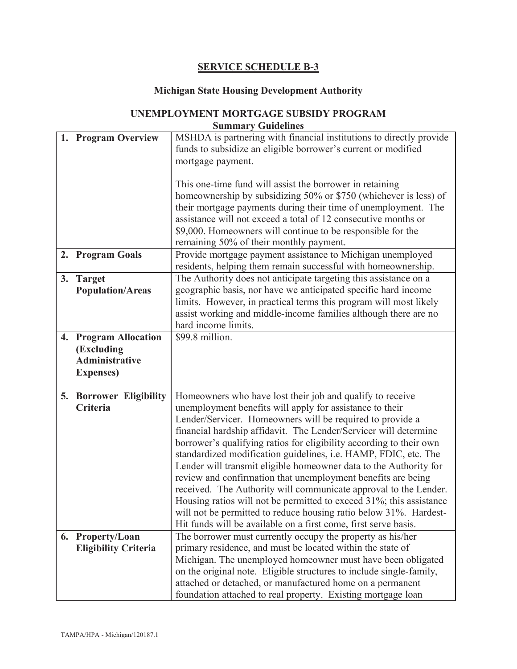### **SERVICE SCHEDULE B-3**

#### **Michigan State Housing Development Authority**

# **UNEMPLOYMENT MORTGAGE SUBSIDY PROGRAM**

**Summary Guidelines 1. Program Overview** MSHDA is partnering with financial institutions to directly provide funds to subsidize an eligible borrower's current or modified mortgage payment. This one-time fund will assist the borrower in retaining homeownership by subsidizing 50% or \$750 (whichever is less) of their mortgage payments during their time of unemployment. The assistance will not exceed a total of 12 consecutive months or \$9,000. Homeowners will continue to be responsible for the remaining 50% of their monthly payment. **2. Program Goals** Provide mortgage payment assistance to Michigan unemployed residents, helping them remain successful with homeownership. **3. Target Population/Areas** The Authority does not anticipate targeting this assistance on a geographic basis, nor have we anticipated specific hard income limits. However, in practical terms this program will most likely assist working and middle-income families although there are no hard income limits. **4. Program Allocation (Excluding Administrative Expenses)**  $$99.8$  million **5. Borrower Eligibility Criteria** Homeowners who have lost their job and qualify to receive unemployment benefits will apply for assistance to their Lender/Servicer. Homeowners will be required to provide a financial hardship affidavit. The Lender/Servicer will determine borrower's qualifying ratios for eligibility according to their own standardized modification guidelines, i.e. HAMP, FDIC, etc. The Lender will transmit eligible homeowner data to the Authority for review and confirmation that unemployment benefits are being received. The Authority will communicate approval to the Lender. Housing ratios will not be permitted to exceed 31%; this assistance will not be permitted to reduce housing ratio below 31%. Hardest-Hit funds will be available on a first come, first serve basis. **6. Property/Loan Eligibility Criteria** The borrower must currently occupy the property as his/her primary residence, and must be located within the state of Michigan. The unemployed homeowner must have been obligated on the original note. Eligible structures to include single-family, attached or detached, or manufactured home on a permanent foundation attached to real property. Existing mortgage loan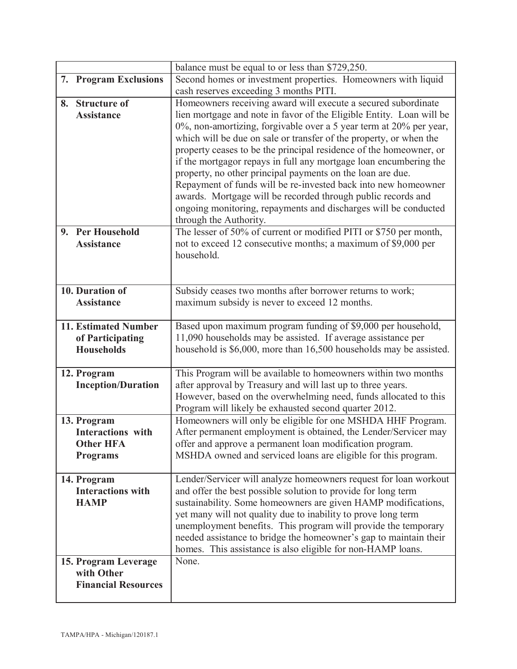|    |                             | balance must be equal to or less than \$729,250.                                                                                    |  |
|----|-----------------------------|-------------------------------------------------------------------------------------------------------------------------------------|--|
|    | 7. Program Exclusions       | Second homes or investment properties. Homeowners with liquid                                                                       |  |
|    |                             | cash reserves exceeding 3 months PITI.                                                                                              |  |
|    | 8. Structure of             | Homeowners receiving award will execute a secured subordinate                                                                       |  |
|    | <b>Assistance</b>           | lien mortgage and note in favor of the Eligible Entity. Loan will be                                                                |  |
|    |                             | 0%, non-amortizing, forgivable over a 5 year term at 20% per year,                                                                  |  |
|    |                             | which will be due on sale or transfer of the property, or when the                                                                  |  |
|    |                             | property ceases to be the principal residence of the homeowner, or                                                                  |  |
|    |                             | if the mortgagor repays in full any mortgage loan encumbering the<br>property, no other principal payments on the loan are due.     |  |
|    |                             | Repayment of funds will be re-invested back into new homeowner                                                                      |  |
|    |                             | awards. Mortgage will be recorded through public records and                                                                        |  |
|    |                             | ongoing monitoring, repayments and discharges will be conducted                                                                     |  |
|    |                             | through the Authority.                                                                                                              |  |
| 9. | <b>Per Household</b>        | The lesser of 50% of current or modified PITI or \$750 per month,                                                                   |  |
|    | <b>Assistance</b>           | not to exceed 12 consecutive months; a maximum of \$9,000 per                                                                       |  |
|    |                             | household.                                                                                                                          |  |
|    |                             |                                                                                                                                     |  |
|    | 10. Duration of             | Subsidy ceases two months after borrower returns to work;                                                                           |  |
|    | <b>Assistance</b>           | maximum subsidy is never to exceed 12 months.                                                                                       |  |
|    |                             |                                                                                                                                     |  |
|    | <b>11. Estimated Number</b> | Based upon maximum program funding of \$9,000 per household,                                                                        |  |
|    | of Participating            | 11,090 households may be assisted. If average assistance per                                                                        |  |
|    | <b>Households</b>           | household is \$6,000, more than 16,500 households may be assisted.                                                                  |  |
|    |                             |                                                                                                                                     |  |
|    | 12. Program                 | This Program will be available to homeowners within two months                                                                      |  |
|    | <b>Inception/Duration</b>   | after approval by Treasury and will last up to three years.                                                                         |  |
|    |                             | However, based on the overwhelming need, funds allocated to this                                                                    |  |
|    | 13. Program                 | Program will likely be exhausted second quarter 2012.<br>Homeowners will only be eligible for one MSHDA HHF Program.                |  |
|    | <b>Interactions</b> with    | After permanent employment is obtained, the Lender/Servicer may                                                                     |  |
|    | <b>Other HFA</b>            | offer and approve a permanent loan modification program.                                                                            |  |
|    | <b>Programs</b>             | MSHDA owned and serviced loans are eligible for this program.                                                                       |  |
|    |                             |                                                                                                                                     |  |
|    | 14. Program                 | Lender/Servicer will analyze homeowners request for loan workout                                                                    |  |
|    | <b>Interactions with</b>    | and offer the best possible solution to provide for long term                                                                       |  |
|    | <b>HAMP</b>                 | sustainability. Some homeowners are given HAMP modifications,                                                                       |  |
|    |                             | yet many will not quality due to inability to prove long term                                                                       |  |
|    |                             | unemployment benefits. This program will provide the temporary<br>needed assistance to bridge the homeowner's gap to maintain their |  |
|    |                             | homes. This assistance is also eligible for non-HAMP loans.                                                                         |  |
|    | 15. Program Leverage        | None.                                                                                                                               |  |
|    | with Other                  |                                                                                                                                     |  |
|    | <b>Financial Resources</b>  |                                                                                                                                     |  |
|    |                             |                                                                                                                                     |  |